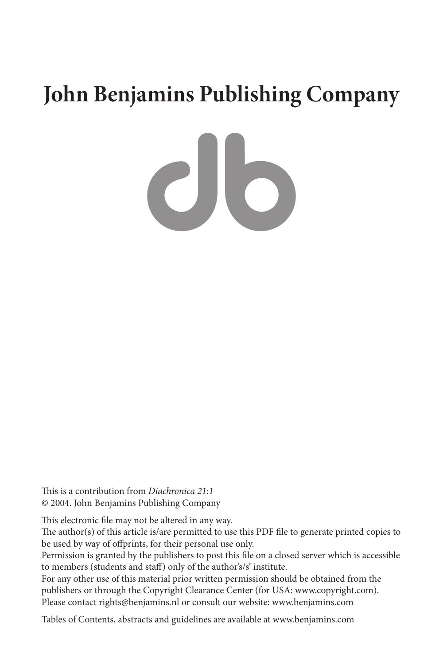# **John Benjamins Publishing Company**

 $c$ lo

This is a contribution from *Diachronica 21:1* © 2004. John Benjamins Publishing Company

This electronic file may not be altered in any way.

The author(s) of this article is/are permitted to use this PDF file to generate printed copies to be used by way of offprints, for their personal use only.

Permission is granted by the publishers to post this file on a closed server which is accessible to members (students and staff) only of the author's/s' institute.

For any other use of this material prior written permission should be obtained from the publishers or through the Copyright Clearance Center (for USA: www.copyright.com). Please contact rights@benjamins.nl or consult our website: www.benjamins.com

Tables of Contents, abstracts and guidelines are available at www.benjamins.com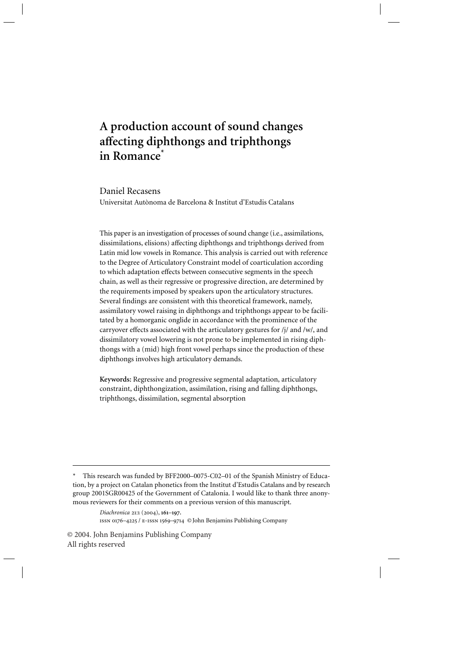### A production account of sound changes affecting diphthongs and triphthongs in Romance<sup>\*</sup>

#### Daniel Recasens

Universitat Autònoma de Barcelona & Institut d'Estudis Catalans

This paper is an investigation of processes of sound change (i.e., assimilations, dissimilations, elisions) affecting diphthongs and triphthongs derived from Latin mid low vowels in Romance. This analysis is carried out with reference to the Degree of Articulatory Constraint model of coarticulation according to which adaptation effects between consecutive segments in the speech chain, as well as their regressive or progressive direction, are determined by the requirements imposed by speakers upon the articulatory structures. Several findings are consistent with this theoretical framework, namely, assimilatory vowel raising in diphthongs and triphthongs appear to be facilitated by a homorganic onglide in accordance with the prominence of the carryover effects associated with the articulatory gestures for /j/ and /w/, and dissimilatory vowel lowering is not prone to be implemented in rising diphthongs with a (mid) high front vowel perhaps since the production of these diphthongs involves high articulatory demands.

Keywords: Regressive and progressive segmental adaptation, articulatory constraint, diphthongization, assimilation, rising and falling diphthongs, triphthongs, dissimilation, segmental absorption

This research was funded by BFF2000–0075-C02–01 of the Spanish Ministry of Education, by a project on Catalan phonetics from the Institut d'Estudis Catalans and by research group 2001SGR00425 of the Government of Catalonia. I would like to thank three anonymous reviewers for their comments on a previous version of this manuscript.

*Diachronica* 21:1 (2004), 161–197. issn 0176–4225 / e-issn 1569–9714 ©John Benjamins Publishing Company

<sup>© 2004.</sup> John Benjamins Publishing Company All rights reserved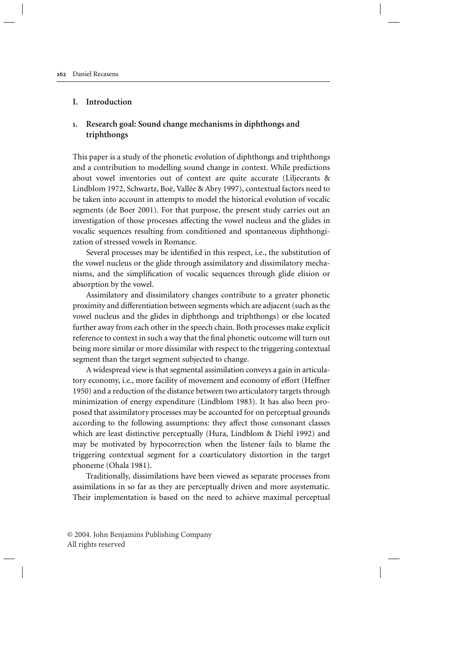#### I. Introduction

#### 1. Research goal: Sound change mechanisms in diphthongs and triphthongs

This paper is a study of the phonetic evolution of diphthongs and triphthongs and a contribution to modelling sound change in context. While predictions about vowel inventories out of context are quite accurate (Liljecrants & Lindblom 1972, Schwartz, Boë, Vallée & Abry 1997), contextual factors need to be taken into account in attempts to model the historical evolution of vocalic segments (de Boer 2001). For that purpose, the present study carries out an investigation of those processes affecting the vowel nucleus and the glides in vocalic sequences resulting from conditioned and spontaneous diphthongization of stressed vowels in Romance.

Several processes may be identified in this respect, i.e., the substitution of the vowel nucleus or the glide through assimilatory and dissimilatory mechanisms, and the simplification of vocalic sequences through glide elision or absorption by the vowel.

Assimilatory and dissimilatory changes contribute to a greater phonetic proximity and differentiation between segments which are adjacent (such as the vowel nucleus and the glides in diphthongs and triphthongs) or else located further away from each other in the speech chain. Both processes make explicit reference to context in such a way that the final phonetic outcome will turn out being more similar or more dissimilar with respect to the triggering contextual segment than the target segment subjected to change.

A widespread view is that segmental assimilation conveys a gain in articulatory economy, i.e., more facility of movement and economy of effort (Heffner 1950) and a reduction of the distance between two articulatory targets through minimization of energy expenditure (Lindblom 1983). It has also been proposed that assimilatory processes may be accounted for on perceptual grounds according to the following assumptions: they affect those consonant classes which are least distinctive perceptually (Hura, Lindblom & Diehl 1992) and may be motivated by hypocorrection when the listener fails to blame the triggering contextual segment for a coarticulatory distortion in the target phoneme (Ohala 1981).

Traditionally, dissimilations have been viewed as separate processes from assimilations in so far as they are perceptually driven and more asystematic. Their implementation is based on the need to achieve maximal perceptual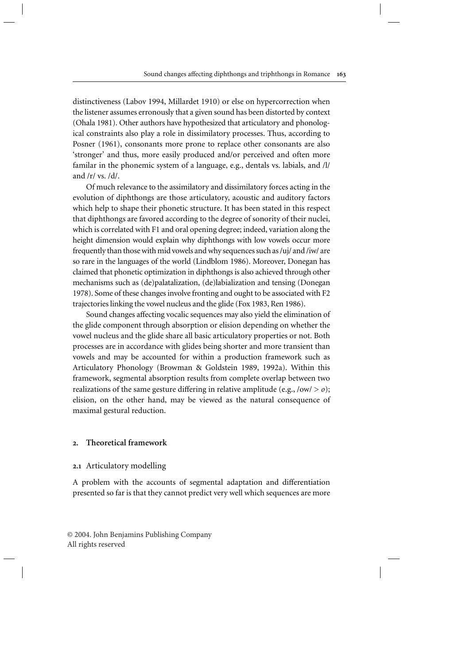distinctiveness (Labov 1994, Millardet 1910) or else on hypercorrection when the listener assumes erronously that a given sound has been distorted by context (Ohala 1981). Other authors have hypothesized that articulatory and phonological constraints also play a role in dissimilatory processes. Thus, according to Posner (1961), consonants more prone to replace other consonants are also 'stronger' and thus, more easily produced and/or perceived and often more familar in the phonemic system of a language, e.g., dentals vs. labials, and /l/ and /r/ vs. /d/.

Of much relevance to the assimilatory and dissimilatory forces acting in the evolution of diphthongs are those articulatory, acoustic and auditory factors which help to shape their phonetic structure. It has been stated in this respect that diphthongs are favored according to the degree of sonority of their nuclei, which is correlated with F1 and oral opening degree; indeed, variation along the height dimension would explain why diphthongs with low vowels occur more frequently than those with mid vowels and why sequences such as /uj/ and /iw/ are so rare in the languages of the world (Lindblom 1986). Moreover, Donegan has claimed that phonetic optimization in diphthongs is also achieved through other mechanisms such as (de)palatalization, (de)labialization and tensing (Donegan 1978). Some of these changes involve fronting and ought to be associated with F2 trajectories linking the vowel nucleus and the glide (Fox 1983, Ren 1986).

Sound changes affecting vocalic sequences may also yield the elimination of the glide component through absorption or elision depending on whether the vowel nucleus and the glide share all basic articulatory properties or not. Both processes are in accordance with glides being shorter and more transient than vowels and may be accounted for within a production framework such as Articulatory Phonology (Browman & Goldstein 1989, 1992a). Within this framework, segmental absorption results from complete overlap between two realizations of the same gesture differing in relative amplitude (e.g.,  $/ow/ > 0$ ); elision, on the other hand, may be viewed as the natural consequence of maximal gestural reduction.

#### 2. Theoretical framework

#### 2.1 Articulatory modelling

A problem with the accounts of segmental adaptation and differentiation presented so far is that they cannot predict very well which sequences are more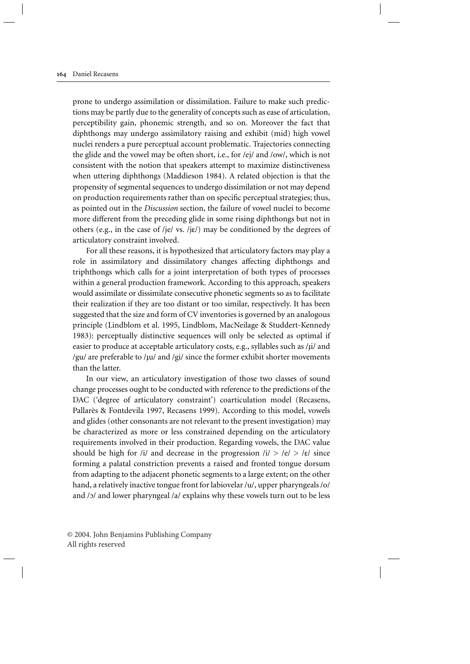prone to undergo assimilation or dissimilation. Failure to make such predictions may be partly due to the generality of concepts such as ease of articulation, perceptibility gain, phonemic strength, and so on. Moreover the fact that diphthongs may undergo assimilatory raising and exhibit (mid) high vowel nuclei renders a pure perceptual account problematic. Trajectories connecting the glide and the vowel may be often short, i.e., for /ej/ and /ow/, which is not consistent with the notion that speakers attempt to maximize distinctiveness when uttering diphthongs (Maddieson 1984). A related objection is that the propensity of segmental sequences to undergo dissimilation or not may depend on production requirements rather than on specific perceptual strategies; thus, as pointed out in the *Discussion* section, the failure of vowel nuclei to become more different from the preceding glide in some rising diphthongs but not in others (e.g., in the case of /je/ vs. /jɛ/) may be conditioned by the degrees of articulatory constraint involved.

For all these reasons, it is hypothesized that articulatory factors may play a role in assimilatory and dissimilatory changes affecting diphthongs and triphthongs which calls for a joint interpretation of both types of processes within a general production framework. According to this approach, speakers would assimilate or dissimilate consecutive phonetic segments so as to facilitate their realization if they are too distant or too similar, respectively. It has been suggested that the size and form of CV inventories is governed by an analogous principle (Lindblom et al. 1995, Lindblom, MacNeilage & Studdert-Kennedy 1983): perceptually distinctive sequences will only be selected as optimal if easier to produce at acceptable articulatory costs, e.g., syllables such as /µi/ and /gu/ are preferable to / $\mu$ u/ and /gi/ since the former exhibit shorter movements than the latter.

In our view, an articulatory investigation of those two classes of sound change processes ought to be conducted with reference to the predictions of the DAC ('degree of articulatory constraint') coarticulation model (Recasens, Pallarès & Fontdevila 1997, Recasens 1999). According to this model, vowels and glides (other consonants are not relevant to the present investigation) may be characterized as more or less constrained depending on the articulatory requirements involved in their production. Regarding vowels, the DAC value should be high for /i/ and decrease in the progression  $\lambda i > |e| > |e|$  since forming a palatal constriction prevents a raised and fronted tongue dorsum from adapting to the adjacent phonetic segments to a large extent; on the other hand, a relatively inactive tongue front for labiovelar /u/, upper pharyngeals /o/ and /ɔ/ and lower pharyngeal /a/ explains why these vowels turn out to be less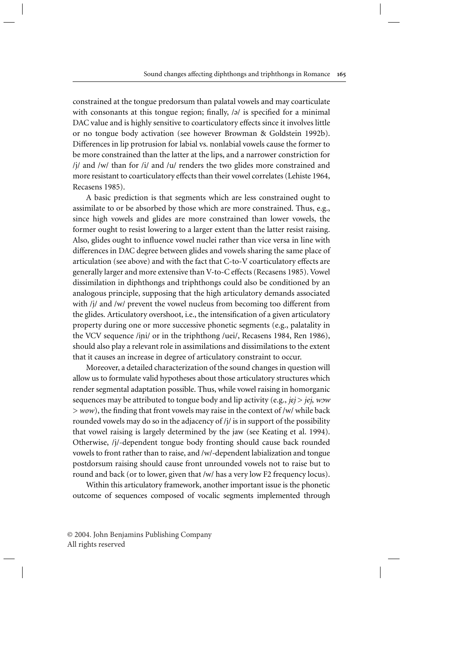constrained at the tongue predorsum than palatal vowels and may coarticulate with consonants at this tongue region; finally, /ə/ is specified for a minimal DAC value and is highly sensitive to coarticulatory effects since it involves little or no tongue body activation (see however Browman & Goldstein 1992b). Differences in lip protrusion for labial vs. nonlabial vowels cause the former to be more constrained than the latter at the lips, and a narrower constriction for /j/ and /w/ than for /i/ and /u/ renders the two glides more constrained and more resistant to coarticulatory effects than their vowel correlates (Lehiste 1964, Recasens 1985).

A basic prediction is that segments which are less constrained ought to assimilate to or be absorbed by those which are more constrained. Thus, e.g., since high vowels and glides are more constrained than lower vowels, the former ought to resist lowering to a larger extent than the latter resist raising. Also, glides ought to influence vowel nuclei rather than vice versa in line with differences in DAC degree between glides and vowels sharing the same place of articulation (see above) and with the fact that C-to-V coarticulatory effects are generally larger and more extensive than V-to-C effects (Recasens 1985). Vowel dissimilation in diphthongs and triphthongs could also be conditioned by an analogous principle, supposing that the high articulatory demands associated with /j/ and /w/ prevent the vowel nucleus from becoming too different from the glides. Articulatory overshoot, i.e., the intensification of a given articulatory property during one or more successive phonetic segments (e.g., palatality in the VCV sequence /ini/ or in the triphthong /uei/, Recasens 1984, Ren 1986), should also play a relevant role in assimilations and dissimilations to the extent that it causes an increase in degree of articulatory constraint to occur.

Moreover, a detailed characterization of the sound changes in question will allow us to formulate valid hypotheses about those articulatory structures which render segmental adaptation possible. Thus, while vowel raising in homorganic sequences may be attributed to tongue body and lip activity (e.g.,  $j\epsilon j > j\epsilon j$ , *w* $\delta w$ > *wow*), the finding that front vowels may raise in the context of /w/ while back rounded vowels may do so in the adjacency of /j/ is in support of the possibility that vowel raising is largely determined by the jaw (see Keating et al. 1994). Otherwise, /j/-dependent tongue body fronting should cause back rounded vowels to front rather than to raise, and /w/-dependent labialization and tongue postdorsum raising should cause front unrounded vowels not to raise but to round and back (or to lower, given that /w/ has a very low F2 frequency locus).

Within this articulatory framework, another important issue is the phonetic outcome of sequences composed of vocalic segments implemented through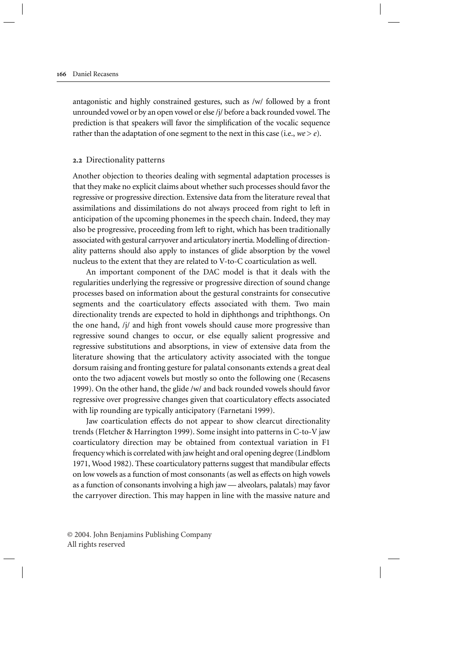antagonistic and highly constrained gestures, such as /w/ followed by a front unrounded vowel or by an open vowel or else /j/ before a back rounded vowel. The prediction is that speakers will favor the simplification of the vocalic sequence rather than the adaptation of one segment to the next in this case (i.e., *we* > *e*).

#### 2.2 Directionality patterns

Another objection to theories dealing with segmental adaptation processes is that they make no explicit claims about whether such processes should favor the regressive or progressive direction. Extensive data from the literature reveal that assimilations and dissimilations do not always proceed from right to left in anticipation of the upcoming phonemes in the speech chain. Indeed, they may also be progressive, proceeding from left to right, which has been traditionally associated with gestural carryover and articulatory inertia. Modelling of directionality patterns should also apply to instances of glide absorption by the vowel nucleus to the extent that they are related to V-to-C coarticulation as well.

An important component of the DAC model is that it deals with the regularities underlying the regressive or progressive direction of sound change processes based on information about the gestural constraints for consecutive segments and the coarticulatory effects associated with them. Two main directionality trends are expected to hold in diphthongs and triphthongs. On the one hand, /j/ and high front vowels should cause more progressive than regressive sound changes to occur, or else equally salient progressive and regressive substitutions and absorptions, in view of extensive data from the literature showing that the articulatory activity associated with the tongue dorsum raising and fronting gesture for palatal consonants extends a great deal onto the two adjacent vowels but mostly so onto the following one (Recasens 1999). On the other hand, the glide /w/ and back rounded vowels should favor regressive over progressive changes given that coarticulatory effects associated with lip rounding are typically anticipatory (Farnetani 1999).

Jaw coarticulation effects do not appear to show clearcut directionality trends (Fletcher & Harrington 1999). Some insight into patterns in C-to-V jaw coarticulatory direction may be obtained from contextual variation in F1 frequency which is correlated with jaw height and oral opening degree (Lindblom 1971, Wood 1982). These coarticulatory patterns suggest that mandibular effects on low vowels as a function of most consonants (as well as effects on high vowels as a function of consonants involving a high jaw — alveolars, palatals) may favor the carryover direction. This may happen in line with the massive nature and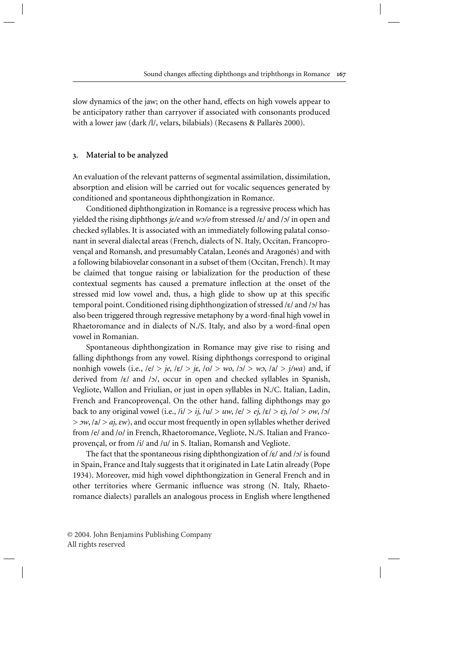slow dynamics of the jaw; on the other hand, effects on high vowels appear to be anticipatory rather than carryover if associated with consonants produced with a lower jaw (dark /l/, velars, bilabials) (Recasens & Pallarès 2000).

#### 3. Material to be analyzed

An evaluation of the relevant patterns of segmental assimilation, dissimilation, absorption and elision will be carried out for vocalic sequences generated by conditioned and spontaneous diphthongization in Romance.

Conditioned diphthongization in Romance is a regressive process which has yielded the rising diphthongs  $j\epsilon/e$  and  $w$ *j* $\theta$  from stressed  $|\epsilon|$  and  $|\theta|$  in open and checked syllables. It is associated with an immediately following palatal consonant in several dialectal areas (French, dialects of N. Italy, Occitan, Francoprovençal and Romansh, and presumably Catalan, Leonés and Aragonés) and with a following bilabiovelar consonant in a subset of them (Occitan, French). It may be claimed that tongue raising or labialization for the production of these contextual segments has caused a premature inflection at the onset of the stressed mid low vowel and, thus, a high glide to show up at this specific temporal point. Conditioned rising diphthongization of stressed / $\varepsilon$ / and / $\sigma$ / has also been triggered through regressive metaphony by a word-final high vowel in Rhaetoromance and in dialects of N./S. Italy, and also by a word-final open vowel in Romanian.

Spontaneous diphthongization in Romance may give rise to rising and falling diphthongs from any vowel. Rising diphthongs correspond to original nonhigh vowels (i.e.,  $|e| > je$ ,  $|\varepsilon| > j\varepsilon$ ,  $|o| > wo$ ,  $|o| > ws$ ,  $|a| > j/wa$ ) and, if derived from  $|\varepsilon|$  and  $|2/$ , occur in open and checked syllables in Spanish, Vegliote, Wallon and Friulian, or just in open syllables in N./C. Italian, Ladin, French and Francoprovençal. On the other hand, falling diphthongs may go back to any original vowel (i.e.,  $\frac{i}{2}$  *i*,  $\frac{i}{2}$  *uw*,  $\frac{1}{2}$  *e*j,  $\frac{i}{2}$  *i*,  $\frac{i}{2}$  *ow*,  $\frac{i}{2}$  $>$  *pw*,  $/a$   $>$  *aj*,  $\epsilon w$ ), and occur most frequently in open syllables whether derived from /e/ and /o/ in French, Rhaetoromance, Vegliote, N./S. Italian and Francoprovençal, or from /i/ and /u/ in S. Italian, Romansh and Vegliote.

The fact that the spontaneous rising diphthongization of  $\frac{\xi}{\alpha}$  and  $\frac{\xi}{\alpha}$  is found in Spain, France and Italy suggests that it originated in Late Latin already (Pope 1934). Moreover, mid high vowel diphthongization in General French and in other territories where Germanic influence was strong (N. Italy, Rhaetoromance dialects) parallels an analogous process in English where lengthened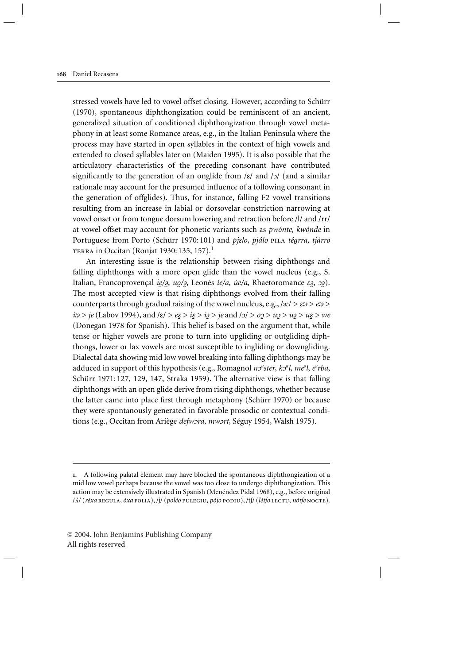stressed vowels have led to vowel offset closing. However, according to Schürr (1970), spontaneous diphthongization could be reminiscent of an ancient, generalized situation of conditioned diphthongization through vowel metaphony in at least some Romance areas, e.g., in the Italian Peninsula where the process may have started in open syllables in the context of high vowels and extended to closed syllables later on (Maiden 1995). It is also possible that the articulatory characteristics of the preceding consonant have contributed significantly to the generation of an onglide from  $\frac{\xi}{\xi}$  and  $\frac{1}{\xi}$  (and a similar rationale may account for the presumed influence of a following consonant in the generation of offglides). Thus, for instance, falling F2 vowel transitions resulting from an increase in labial or dorsovelar constriction narrowing at vowel onset or from tongue dorsum lowering and retraction before /l/ and /rr/ at vowel offset may account for phonetic variants such as *pwónte*, *kwónde* in Portuguese from Porto (Schürr 1970:101) and *pjɛlo*, *pjálo* PILA *téarra*, tjárro TERRA in Occitan (Ronjat 1930: 135, 157).<sup>1</sup>

An interesting issue is the relationship between rising diphthongs and falling diphthongs with a more open glide than the vowel nucleus (e.g., S. Italian, Francoprovençal *ie/2*, *u*0/*2*, Leonés *íe/a*, *úe/a*, Rhaetoromance *ε2*, *52*). The most accepted view is that rising diphthongs evolved from their falling counterparts through gradual raising of the vowel nucleus, e.g.,  $\left|\frac{\partial e}{\partial x}\right| > \varepsilon$  *(Labov 1994), and*  $\frac{\ell}{2} > \varepsilon \varepsilon > *i*\varepsilon > *i*\varepsilon > *j*\varepsilon$  *and*  $\frac{1}{2} > \varepsilon \varepsilon > *i*\varepsilon > *i*\varepsilon > *j*\varepsilon$ (Donegan 1978 for Spanish). This belief is based on the argument that, while tense or higher vowels are prone to turn into upgliding or outgliding diphthongs, lower or lax vowels are most susceptible to ingliding or downgliding. Dialectal data showing mid low vowel breaking into falling diphthongs may be adduced in support of this hypothesis (e.g., Romagnol *n3<sup>a</sup>ster*, *k3<sup>a</sup>l, me<sup>2</sup>l, e<sup>2</sup>rba, <br>Schürr 1971:127, 129, 147, Straka 1959). The alternative view is that falling* Schürr 1971:127, 129, 147, Straka 1959). The alternative view is that falling diphthongs with an open glide derive from rising diphthongs, whether because the latter came into place first through metaphony (Schürr 1970) or because they were spontanously generated in favorable prosodic or contextual conditions (e.g., Occitan from Ariège *defwfra*, *mwfrt*, Séguy 1954, Walsh 1975).

<sup>1</sup>. A following palatal element may have blocked the spontaneous diphthongization of a mid low vowel perhaps because the vowel was too close to undergo diphthongization. This action may be extensively illustrated in Spanish (Menéndez Pidal 1968), e.g., before original  $\frac{1}{\lambda}$  (*réxa* REGULA, *óxa* FOLIA),  $\frac{1}{\lambda}$  (*poléo* PULEGIU, *pójo* PODIU),  $\frac{1}{\lambda}$  (*lét* $\frac{1}{\lambda}$  exteru, *nót* $\frac{1}{\lambda}$  nocte).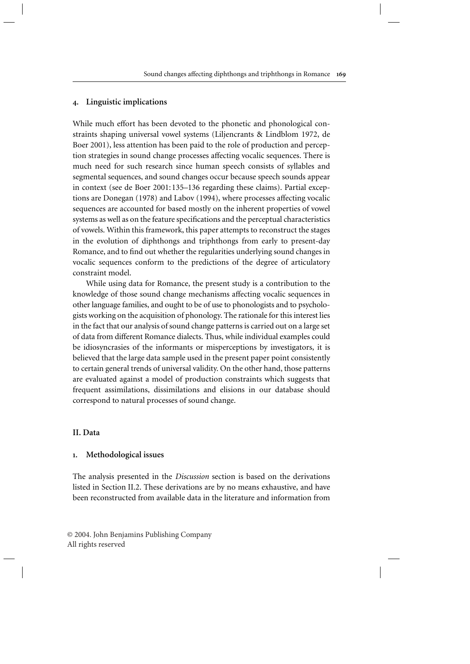#### 4. Linguistic implications

While much effort has been devoted to the phonetic and phonological constraints shaping universal vowel systems (Liljencrants & Lindblom 1972, de Boer 2001), less attention has been paid to the role of production and perception strategies in sound change processes affecting vocalic sequences. There is much need for such research since human speech consists of syllables and segmental sequences, and sound changes occur because speech sounds appear in context (see de Boer 2001:135–136 regarding these claims). Partial exceptions are Donegan (1978) and Labov (1994), where processes affecting vocalic sequences are accounted for based mostly on the inherent properties of vowel systems as well as on the feature specifications and the perceptual characteristics of vowels. Within this framework, this paper attempts to reconstruct the stages in the evolution of diphthongs and triphthongs from early to present-day Romance, and to find out whether the regularities underlying sound changes in vocalic sequences conform to the predictions of the degree of articulatory constraint model.

While using data for Romance, the present study is a contribution to the knowledge of those sound change mechanisms affecting vocalic sequences in other language families, and ought to be of use to phonologists and to psychologists working on the acquisition of phonology. The rationale for this interest lies in the fact that our analysis of sound change patterns is carried out on a large set of data from different Romance dialects. Thus, while individual examples could be idiosyncrasies of the informants or misperceptions by investigators, it is believed that the large data sample used in the present paper point consistently to certain general trends of universal validity. On the other hand, those patterns are evaluated against a model of production constraints which suggests that frequent assimilations, dissimilations and elisions in our database should correspond to natural processes of sound change.

#### II. Data

#### 1. Methodological issues

The analysis presented in the *Discussion* section is based on the derivations listed in Section II.2. These derivations are by no means exhaustive, and have been reconstructed from available data in the literature and information from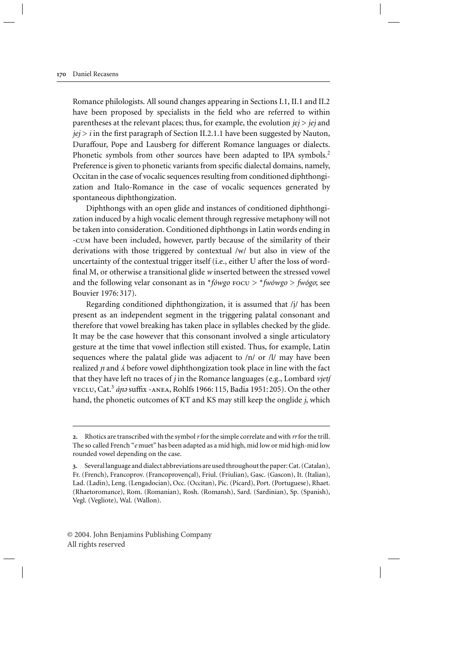Romance philologists. All sound changes appearing in Sections I.1, II.1 and II.2 have been proposed by specialists in the field who are referred to within parentheses at the relevant places; thus, for example, the evolution *<sup>j</sup>7<sup>j</sup>* <sup>&</sup>gt; *jej* and *jej* > *i* in the first paragraph of Section II.2.1.1 have been suggested by Nauton, Duraffour, Pope and Lausberg for different Romance languages or dialects. Phonetic symbols from other sources have been adapted to IPA symbols.<sup>2</sup> Preference is given to phonetic variants from specific dialectal domains, namely, Occitan in the case of vocalic sequences resulting from conditioned diphthongization and Italo-Romance in the case of vocalic sequences generated by spontaneous diphthongization.

Diphthongs with an open glide and instances of conditioned diphthongization induced by a high vocalic element through regressive metaphony will not be taken into consideration. Conditioned diphthongs in Latin words ending in -cum have been included, however, partly because of the similarity of their derivations with those triggered by contextual /w/ but also in view of the uncertainty of the contextual trigger itself (i.e., either U after the loss of wordfinal M, or otherwise a transitional glide *w* inserted between the stressed vowel and the following velar consonant as in \**fówgo* Focu > \**fwówgo* > *fwógo*; see Bouvier 1976:317).

Regarding conditioned diphthongization, it is assumed that /j/ has been present as an independent segment in the triggering palatal consonant and therefore that vowel breaking has taken place in syllables checked by the glide. It may be the case however that this consonant involved a single articulatory gesture at the time that vowel inflection still existed. Thus, for example, Latin sequences where the palatal glide was adjacent to /n/ or /l/ may have been realized  $\mu$  and  $\Lambda$  before vowel diphthongization took place in line with the fact that they have left no traces of *<sup>j</sup>* in the Romance languages (e.g., Lombard *vjetw* veclu, Cat.<sup>3</sup> *<sup>á</sup>\6* suffix -anea, Rohlfs 1966:115, Badia 1951:205). On the other hand, the phonetic outcomes of KT and KS may still keep the onglide *j*, which

<sup>2</sup>. Rhotics are transcribed with the symbol*r*for the simple correlate and with *rr*for the trill. The so called French "*e* muet" has been adapted as a mid high, mid low or mid high-mid low rounded vowel depending on the case.

<sup>3.</sup> Several language and dialect abbreviations are used throughout the paper: Cat. (Catalan), Fr. (French), Francoprov. (Francoprovençal), Friul. (Friulian), Gasc. (Gascon), It. (Italian), Lad. (Ladin), Leng. (Lengadocian), Occ. (Occitan), Pic. (Picard), Port. (Portuguese), Rhaet. (Rhaetoromance), Rom. (Romanian), Rosh. (Romansh), Sard. (Sardinian), Sp. (Spanish), Vegl. (Vegliote), Wal. (Wallon).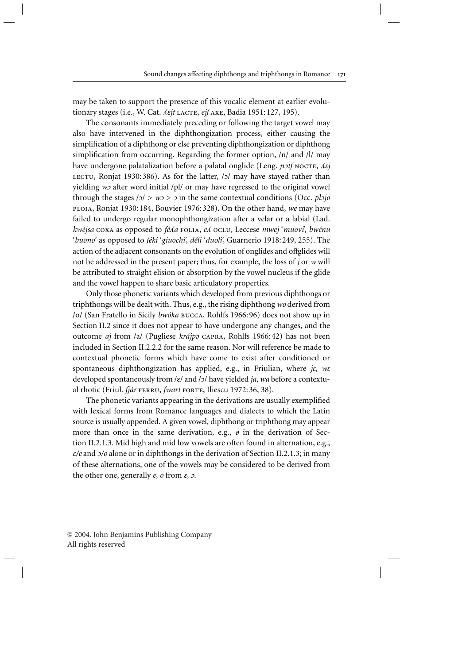may be taken to support the presence of this vocalic element at earlier evolutionary stages (i.e., W. Cat. *A*ejt LACTE, ejf AXE, Badia 1951:127, 195).

The consonants immediately preceding or following the target vowel may also have intervened in the diphthongization process, either causing the simplification of a diphthong or else preventing diphthongization or diphthong simplification from occurring. Regarding the former option,  $/n/$  and  $/l/$  may have undergone palatalization before a palatal onglide (Leng. *pot NOCTE, λεί* LECTU, Ronjat 1930:386). As for the latter,  $/2/$  may have stayed rather than yielding *<sup>w</sup>f* after word initial /pl/ or may have regressed to the original vowel through the stages  $\frac{1}{2}$   $\gg$  *w* $\gg$  *j* in the same contextual conditions (Occ. *pljo* ploia, Ronjat 1930:184, Bouvier 1976:328). On the other hand, *we* may have failed to undergo regular monophthongization after a velar or a labial (Lad. *kwéjsa* coxa as opposed to *féˆ<sup>a</sup>* folia, *<sup>e</sup>ˆ* oclu, Leccese *mwej* '*muovi*', *bwénu* '*buono*' as opposed to *wéki* '*giuochi*', *déli* '*duoli*', Guarnerio 1918:249, 255). The action of the adjacent consonants on the evolution of onglides and offglides will not be addressed in the present paper; thus, for example, the loss of *j* or *w* will be attributed to straight elision or absorption by the vowel nucleus if the glide and the vowel happen to share basic articulatory properties.

Only those phonetic variants which developed from previous diphthongs or triphthongs will be dealt with. Thus, e.g., the rising diphthong *wo* derived from /o/ (San Fratello in Sicily *bwóka* bucca, Rohlfs 1966:96) does not show up in Section II.2 since it does not appear to have undergone any changes, and the outcome *aj* from /a/ (Pugliese *krájp6* capra, Rohlfs 1966:42) has not been included in Section II.2.2.2 for the same reason. Nor will reference be made to contextual phonetic forms which have come to exist after conditioned or spontaneous diphthongization has applied, e.g., in Friulian, where  $j\epsilon$ , *w* $\epsilon$ developed spontaneously from / $\varepsilon$ / and / $\sigma$ / have yielded *ja*, *wa* before a contextual rhotic (Friul. *fjár* ferru, *fwart* forte, Iliescu 1972:36, 38).

The phonetic variants appearing in the derivations are usually exemplified with lexical forms from Romance languages and dialects to which the Latin source is usually appended. A given vowel, diphthong or triphthong may appear more than once in the same derivation, e.g., *ø* in the derivation of Section II.2.1.3. Mid high and mid low vowels are often found in alternation, e.g., *7/e* and *f/o* alone or in diphthongs in the derivation of Section II.2.1.3; in many of these alternations, one of the vowels may be considered to be derived from the other one, generally  $e$ ,  $\varphi$  from  $\varepsilon$ ,  $\varphi$ .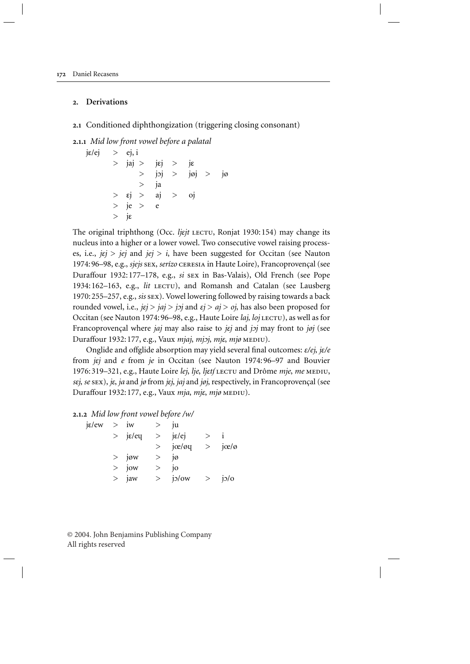#### 2. Derivations

- 2.1 Conditioned diphthongization (triggering closing consonant)
- 2.1.1 *Mid low front vowel before a palatal*
	- $>$  ej, i<br> $>$  jaj  $>$  $>$  jaj  $>$  jej  $>$  je > joj > jøj > jø<br>> io > ja  $>$   $\epsilon$ j > aj > oj  $>$  je  $>$  $>$  jε

The original triphthong (Occ. *ljejt* LECTU, Ronjat 1930:154) may change its nucleus into a higher or a lower vowel. Two consecutive vowel raising processes, i.e.,  $j\epsilon j > j\epsilon j$  and  $j\epsilon j > i$ , have been suggested for Occitan (see Nauton 1974:96–98, e.g., *sjejs* sex, *serízo* ceresia in Haute Loire), Francoprovençal (see Duraffour 1932:177–178, e.g., *si* sex in Bas-Valais), Old French (see Pope 1934:162-163, e.g., *lit* LECTU), and Romansh and Catalan (see Lausberg 1970:255–257, e.g., *sis* sex). Vowel lowering followed by raising towards a back rounded vowel, i.e.,  $j\epsilon j > j\epsilon j \geq j$  and  $\epsilon j > \epsilon j > \epsilon j$ , has also been proposed for Occitan (see Nauton 1974:96–98, e.g., Haute Loire *laj*, *loj* lectu), as well as for Francoprovençal where *jaj* may also raise to *<sup>j</sup>7<sup>j</sup>* and *<sup>j</sup>f<sup>j</sup>* may front to *jøj* (see Duraffour 1932:177, e.g., Vaux *mjaj*, *mjfj*, *mj7*, *mjø* mediu).

Onglide and offglide absorption may yield several final outcomes:  $\varepsilon/e$ *j*,  $j\varepsilon/e$ from *<sup>j</sup>7<sup>j</sup>* and *<sup>e</sup>* from *je* in Occitan (see Nauton 1974:96–97 and Bouvier 1976:319–321, e.g., Haute Loire *lej*, *lje*, *lj7tw* lectu and Drôme *mje*, *me* mediu, *<sup>s</sup>7j*, *se* sex), *<sup>j</sup>7*, *ja* and *jø* from *<sup>j</sup>7j*, *jaj* and *jøj*, respectively, in Francoprovençal (see Duraffour 1932:177, e.g., Vaux *mja*, *mj7*, *mjø* mediu).

2.1.2 *Mid low front vowel before /w/*

| jε/ew | $>$ iw                  | >        | 1u                 |        |                  |
|-------|-------------------------|----------|--------------------|--------|------------------|
|       | $>$ j $\varepsilon$ /ey | >        | $j\epsilon/ej$     | >      | 1                |
|       |                         | >        | $j\alpha/\alpha q$ | >      | $j\alpha/\alpha$ |
|       | $>$ jow                 | >        | jø                 |        |                  |
|       | $>$ jow                 | $\rm{>}$ | 10                 |        |                  |
|       | $>$ jaw                 | >        | j                  | $\geq$ | $j_0$            |
|       |                         |          |                    |        |                  |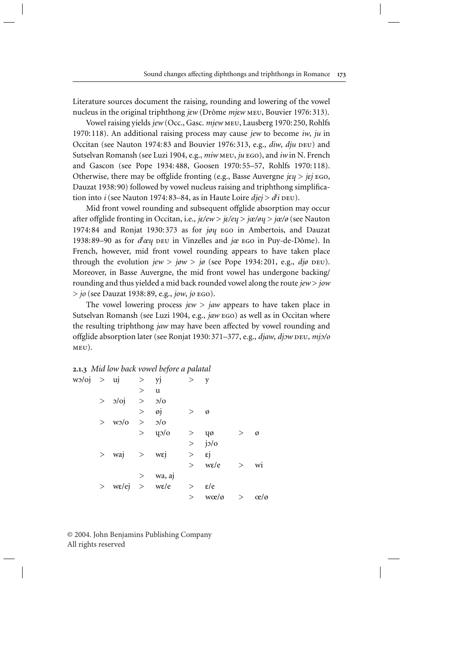Literature sources document the raising, rounding and lowering of the vowel nucleus in the original triphthong *<sup>j</sup>7<sup>w</sup>* (Drôme *mj7<sup>w</sup>* meu, Bouvier 1976:313).

Vowel raising yields *jew* (Occ., Gasc. *mjew* meu, Lausberg 1970:250, Rohlfs 1970:118). An additional raising process may cause *jew* to become *iw*, *ju* in Occitan (see Nauton 1974:83 and Bouvier 1976:313, e.g., *diw*, *dju* DEU) and Sutselvan Romansh (see Luzi 1904, e.g., *miw* meu, *ju* ego), and *iw* in N. French and Gascon (see Pope 1934:488, Goosen 1970:55–57, Rohlfs 1970:118). Otherwise, there may be offglide fronting (e.g., Basse Auvergne  $j \epsilon y > j \epsilon j$  ego, Dauzat 1938:90) followed by vowel nucleus raising and triphthong simplification into *i* (see Nauton 1974: 83–84, as in Haute Loire  $djej > d^j i$  deu).

Mid front vowel rounding and subsequent offglide absorption may occur after offglide fronting in Occitan, i.e.,  $j\epsilon/ew > j\epsilon/ey > j\alpha/\omega$  /  $j\alpha/\omega$  (see Nauton 1974:84 and Ronjat 1930:373 as for *jøy* EGO in Ambertois, and Dauzat 1938:89–90 as for  $d^{i}$  $\alpha$  $\beta$  peu in Vinzelles and  $j\alpha$  ego in Puy-de-Dôme). In French, however, mid front vowel rounding appears to have taken place through the evolution  $jew > j\omega$  is (see Pope 1934:201, e.g.,  $dj\omega$  DEU). Moreover, in Basse Auvergne, the mid front vowel has undergone backing/ rounding and thus yielded a mid back rounded vowel along the route *jew* > *jow* > *jo* (see Dauzat 1938:89, e.g., *jow*, *jo* ego).

The vowel lowering process  $jew > jaw$  appears to have taken place in Sutselvan Romansh (see Luzi 1904, e.g., *jaw* EGO) as well as in Occitan where the resulting triphthong *jaw* may have been affected by vowel rounding and offglide absorption later (see Ronjat 1930:371–377, e.g., *djaw*, *djf<sup>w</sup>* deu, *mjf/o* meu).

## 2.1.3 *Mid low back vowel before a palatal*

| $\frac{w}{q}$ $>$ $\frac{w}{q}$ |   |              | >      | yj            | >      | $\mathbf{y}$        |   |                 |
|---------------------------------|---|--------------|--------|---------------|--------|---------------------|---|-----------------|
|                                 |   |              | >      | u             |        |                     |   |                 |
|                                 |   | $> 9$ /oj    | $\,>$  | $\frac{1}{2}$ |        |                     |   |                 |
|                                 |   |              | >      | øj            | >      | Ø                   |   |                 |
|                                 | > | $w_0$        | $\,>$  | $\frac{1}{2}$ |        |                     |   |                 |
|                                 |   |              | $\,>$  | $q_0$         | >      | ЧØ                  | > | Ø               |
|                                 |   |              |        |               | >      | j                   |   |                 |
|                                 |   | $>$ waj      | $\geq$ | wεj           | >      | εj                  |   |                 |
|                                 |   |              |        |               | $\geq$ | $w\varepsilon/e$    | > | wi              |
|                                 |   |              | >      | wa, aj        |        |                     |   |                 |
|                                 | > | we/ej > we/e |        |               | >      | $\varepsilon$ /e    |   |                 |
|                                 |   |              |        |               | $\geq$ | $w\alpha/\emptyset$ | > | $\alpha/\alpha$ |
|                                 |   |              |        |               |        |                     |   |                 |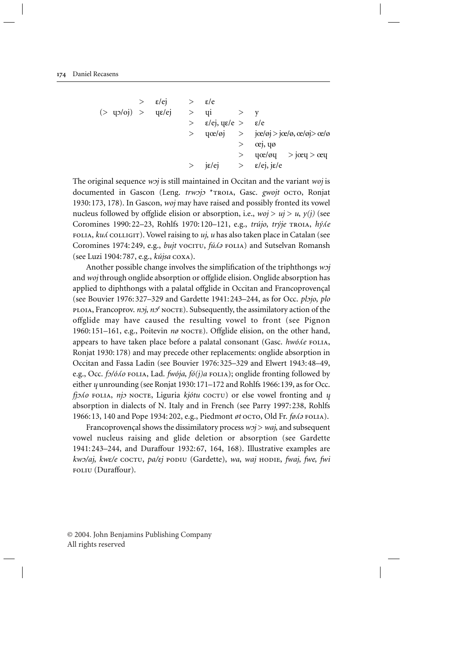$$
\begin{array}{rcl}\n >> & \varepsilon/ej > & \varepsilon/e \\
 <> & \varepsilon/ej > & \varepsilon/e \\
 >> & \varepsilon/ej, \, \varepsilon(e) > & \varepsilon/e \\
 >> & \varepsilon/ej, \, \varepsilon(e) > & \varepsilon/e \\
 >> & \varepsilon(ej) > & \varepsilon(ej) > \varepsilon(ej) > \varepsilon(ej) > \varepsilon(ej) \\
 >> & \varepsilon(ej, \, \varepsilon(ej) > & \varepsilon(ej, \, \varepsilon(ej) > \varepsilon(ej, \, \varepsilon(ej) > \varepsilon(ej, \, \varepsilon(ej, \, \varepsilon(ej, \, \varepsilon(ej, \, \varepsilon(ej, \, \varepsilon(ej, \, \varepsilon(ej, \, \varepsilon(ej, \, \varepsilon(ej, \, \varepsilon(ej, \, \varepsilon(ej, \, \varepsilon(ej, \, \varepsilon(ej, \, \varepsilon(ej, \, \varepsilon(ej, \, \varepsilon(ej, \, \varepsilon(ej, \, \varepsilon(ej, \, \varepsilon(ej, \, \varepsilon(ej, \, \varepsilon(ej, \, \varepsilon(ej, \, \varepsilon(ej, \, \varepsilon(ej, \, \varepsilon(ej, \, \varepsilon(ej, \, \varepsilon(ej, \, \varepsilon(ej, \, \varepsilon(ej, \, \varepsilon(ej, \, \varepsilon(ej, \, \varepsilon(ej, \, \varepsilon(ej, \, \varepsilon(ej, \, \varepsilon(ej, \, \varepsilon(ej, \, \varepsilon(ej, \, \varepsilon(ej, \, \varepsilon(ej, \, \varepsilon(ej, \, \varepsilon(ej, \, \varepsilon(ej, \, \varepsilon(ej, \, \varepsilon(ej, \, \varepsilon(ej, \, \varepsilon(ej, \, \varepsilon(ej, \, \varepsilon(ej, \, \varepsilon(ej, \, \varepsilon(ej, \, \varepsilon(ej, \, \varepsilon(ej, \, \varepsilon(ej, \, \varepsilon(ej, \, \varepsilon(ej, \, \varepsilon(ej,
$$

The original sequence *<sup>w</sup>f<sup>j</sup>* is still maintained in Occitan and the variant *woj* is documented in Gascon (Leng. *trwfjf* \*troia, Gasc. *gwojt* octo, Ronjat 1930:173, 178). In Gascon, *woj* may have raised and possibly fronted its vowel nucleus followed by offglide elision or absorption, i.e.,  $woj > uj > u$ ,  $y(j)$  (see Coromines 1990:22–23, Rohlfs 1970:120–121, e.g., *trújo*, *trýje* troia, *hýˆ<sup>e</sup>* folia, *kuˆ* colligit). Vowel raising to *uj*, *<sup>u</sup>* has also taken place in Catalan (see Coromines 1974:249, e.g., *bujt* vocitu, *fúla* FOLIA) and Sutselvan Romansh (see Luzi 1904:787, e.g., *kújsa* coxa).

Another possible change involves the simplification of the triphthongs *<sup>w</sup>f<sup>j</sup>* and *woj* through onglide absorption or offglide elision. Onglide absorption has applied to diphthongs with a palatal offglide in Occitan and Francoprovençal (see Bouvier 1976:327–329 and Gardette 1941:243–244, as for Occ. *plfjo*, *plo* ploia, Francoprov. *<sup>n</sup>fj*, *<sup>n</sup>f<sup>e</sup>* nocte). Subsequently, the assimilatory action of the offglide may have caused the resulting vowel to front (see Pignon 1960:151–161, e.g., Poitevin *nø* NOCTE). Offglide elision, on the other hand, appears to have taken place before a palatal consonant (Gasc. *hwó/e* FOLIA, Ronjat 1930:178) and may precede other replacements: onglide absorption in Occitan and Fassa Ladin (see Bouvier 1976:325–329 and Elwert 1943:48–49, e.g., Occ. *<sup>f</sup>f/óˆ<sup>o</sup>* folia, Lad. *fwója*, *fó(j)a* folia); onglide fronting followed by either *y* unrounding (see Ronjat 1930: 171–172 and Rohlfs 1966: 139, as for Occ.  $f<sub>i</sub>$ <sup>2</sup> $\alpha$ <sup>*b*</sup> folia, *nj*<sup>2</sup> nocte, Liguria *kjótu* coctu) or else vowel fronting and *u* absorption in dialects of N. Italy and in French (see Parry 1997:238, Rohlfs 1966:13, 140 and Pope 1934:202, e.g., Piedmont *øt* octo, Old Fr. *føˆ6* folia).

Francoprovençal shows the dissimilatory process *<sup>w</sup>f<sup>j</sup>* <sup>&</sup>gt; *waj*, and subsequent vowel nucleus raising and glide deletion or absorption (see Gardette 1941:243–244, and Duraffour 1932:67, 164, 168). Illustrative examples are *kwf/aj*, *kw7/e* coctu, *pa/7<sup>j</sup>* podiu (Gardette), *wa*, *waj* hodie, *fwaj*, *fwe*, *fwi* FOLIU (Duraffour).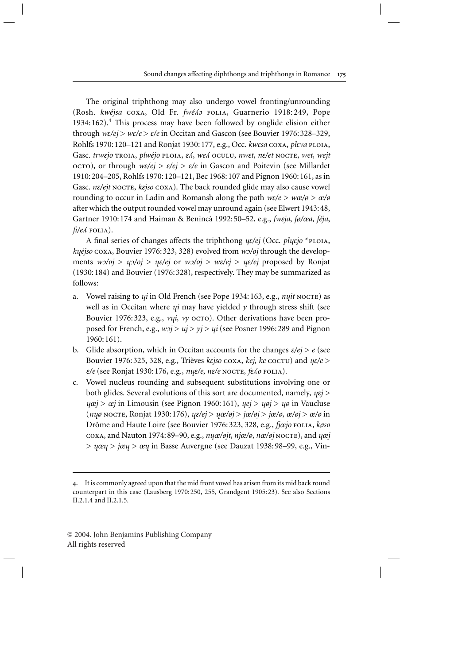The original triphthong may also undergo vowel fronting/unrounding (Rosh. *kwéjsa* coxa, Old Fr. *fwéˆ6* folia, Guarnerio 1918: 249, Pope 1934:162).<sup>4</sup> This process may have been followed by onglide elision either through  $w\epsilon/ej > w\epsilon/e > \epsilon/e$  in Occitan and Gascon (see Bouvier 1976:328–329, Rohlfs 1970: 120-121 and Ronjat 1930: 177, e.g., Occ. *kwesa* coxa, *pleva* PLOIA, Gasc. *trw7jo* troia, *plwéjo* ploia, *7ˆ*, *weˆ* oculu, *nw7t*, *<sup>n</sup>7/et* nocte, *wet*, *wejt* octo), or through  $w\epsilon/ej > \epsilon/ej > \epsilon/e$  in Gascon and Poitevin (see Millardet 1910:204–205, Rohlfs 1970:120–121, Bec 1968:107 and Pignon 1960:161, as in Gasc. *n*e/ejt NOCTE, *kejso* COXA). The back rounded glide may also cause vowel rounding to occur in Ladin and Romansh along the path  $w\epsilon/\epsilon > w\alpha/\varnothing > \alpha/\varnothing$ after which the output rounded vowel may unround again (see Elwert 1943:48, Gartner 1910:174 and Haiman & Benincà 1992:50–52, e.g., *fw7ja*, *fø/œa*, *féja*, *fi/eˆ* folia).

A final series of changes affects the triphthong *ye/ej* (Occ. *plyejo* \*ploia, *<sup>k</sup>Céjso* coxa, Bouvier 1976:323, 328) evolved from *<sup>w</sup>f/oj* through the developments  $w$ *j* $\frac{1}{2}$   $\frac{1}{2}$   $\frac{1}{2}$   $\frac{1}{2}$   $\frac{1}{2}$   $\frac{1}{2}$   $\frac{1}{2}$  or  $w$ <sup>*j* $\frac{1}{2}$  >  $w$ <sub>*i*</sub> $\frac{1}{2}$   $\frac{1}{2}$   $\frac{1}{2}$   $\frac{1}{2}$   $\frac{1}{2}$   $\frac{1}{2}$   $\frac{1}{2}$   $\frac{1}{2}$   $\frac{1}{2}$   $\frac{1}{2}$   $\frac{1}{2}$ </sup> (1930:184) and Bouvier (1976:328), respectively. They may be summarized as follows:

- a. Vowel raising to  $\psi$ *i* in Old French (see Pope 1934:163, e.g., *n* $\psi$ *it* nocte) as well as in Occitan where  $\psi$ *i* may have yielded  $\psi$  through stress shift (see Bouvier 1976:323, e.g., *vyi*, *vy* ocro). Other derivations have been proposed for French, e.g.,  $w$ *j* >  $u$ *j* >  $y$ *j* >  $u$ *i* (see Posner 1996:289 and Pignon 1960:161).
- b. Glide absorption, which in Occitan accounts for the changes  $\varepsilon/ej > e$  (see Bouvier 1976:325, 328, e.g., Trièves *kejso* coxa, *kej, ke* cocru) and  $\gamma$ *e*/*e* > *<sup>7</sup>/e* (see Ronjat 1930:176, e.g., *<sup>n</sup>C7/e*, *<sup>n</sup>7/e* nocte, *<sup>f</sup>7ˆ<sup>o</sup>* folia).
- c. Vowel nucleus rounding and subsequent substitutions involving one or both glides. Several evolutions of this sort are documented, namely,  $\mu$ *i* >  $C\psi$ *ej* > *œj* in Limousin (see Pignon 1960:161),  $\psi$ *ej* >  $\psi$ *øj* >  $\psi$ *ø* in Vaucluse (*nC<sup>ø</sup>* nocte, Ronjat 1930:176), *C7/ej* <sup>&</sup>gt; *Cœ/øj* <sup>&</sup>gt; *jœ/øj* <sup>&</sup>gt; *jœ/ø*, *œ/øj* <sup>&</sup>gt; *œ/ø* in Drôme and Haute Loire (see Bouvier 1976:323, 328, e.g., *fjœjo* folia, *køso* coxa, and Nauton 1974: 89-90, e.g.,  $n\psi\varphi/\varphi$ jt,  $n\psi\varphi/\varphi$ ,  $n\alpha/\varphi$ j nocte), and  $\psi\varphi$ j <sup>&</sup>gt; *CœC* <sup>&</sup>gt; *jœC* <sup>&</sup>gt; *<sup>œ</sup>C* in Basse Auvergne (see Dauzat 1938:98–99, e.g., Vin-

<sup>4</sup>. It is commonly agreed upon that the mid front vowel has arisen from its mid back round counterpart in this case (Lausberg 1970:250, 255, Grandgent 1905:23). See also Sections II.2.1.4 and II.2.1.5.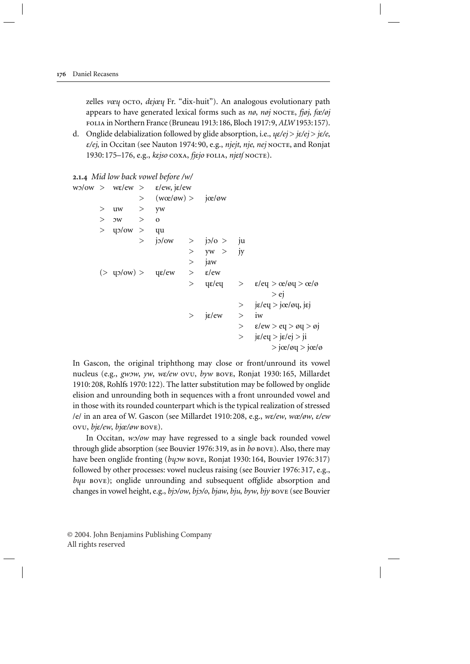zelles *vœy* octo, *dejœy* Fr. "dix-huit"). An analogous evolutionary path appears to have generated lexical forms such as *nø*, *nøj* nocte, *fjøj*, *fœ/øj* folia in Northern France (Bruneau 1913:186, Bloch 1917:9,*ALW* 1953:157).

d. Onglide delabialization followed by glide absorption, i.e.,  $\psi e / e j > j \varepsilon / e$ , *7/ej*, in Occitan (see Nauton 1974:90, e.g., *njejt*, *nje*, *nej* nocte, and Ronjat 1930:175–176, e.g., *<sup>k</sup>7jso* coxa, *fj7jo* folia, *nj7tw* nocte).

```
2.1.4 Mid low back vowel before /w/
```

```
\frac{w}{w}/we/ew >
                                       (wce/ow) > ice/ow> uw > yw
             > 5w > 6<br>> m/ow > m
             > q> q> qu<br>> is \frac{1}{2}> jo/ow > jo/o > ju<br>> yw > jy
                                                               vw >> jaw
            (> \text{tp/ow}) > \text{q}/ew > \text{g/ew}<br>> \text{q}/ew > \text{q}> \varepsilon/eu > œ/øu > œ/ø
                                                                                               > ej
                                                                               > j\varepsilon/eq > joe/øq, j\varepsilonj<br>> iw
                                                       > j\varepsilon/ew >
                                                                               > \varepsilon/\text{ew} > \text{eq} > \varpi \cdot \varpi<br>
> \text{if/} \text{er} \cdot \text{if/} \text{er} \cdot \varpij\epsilon/\text{e}y > j\epsilon/\text{e}j > ji>jœ/øu >jœ/ø
```
In Gascon, the original triphthong may close or front/unround its vowel nucleus (e.g., *gwfw*, *yw*, *<sup>w</sup>7/ew* ovu, *byw* bove, Ronjat 1930:165, Millardet 1910:208, Rohlfs 1970:122). The latter substitution may be followed by onglide elision and unrounding both in sequences with a front unrounded vowel and in those with its rounded counterpart which is the typical realization of stressed /e/ in an area of W. Gascon (see Millardet 1910:208, e.g., *<sup>w</sup>7/ew*, *wœ/øw*, *7/ew* ovu, *bj7/ew*, *bjœ/øw* bove).

In Occitan, *<sup>w</sup>f/ow* may have regressed to a single back rounded vowel through glide absorption (see Bouvier 1976:319, as in *bo* bove). Also, there may have been onglide fronting (*byzw* bove, Ronjat 1930:164, Bouvier 1976:317) followed by other processes: vowel nucleus raising (see Bouvier 1976:317, e.g., byu bove); onglide unrounding and subsequent offglide absorption and changes in vowel height, e.g., *bjf/ow*, *bjf/o*, *bjaw*, *bju*, *byw*, *bjy* bove (see Bouvier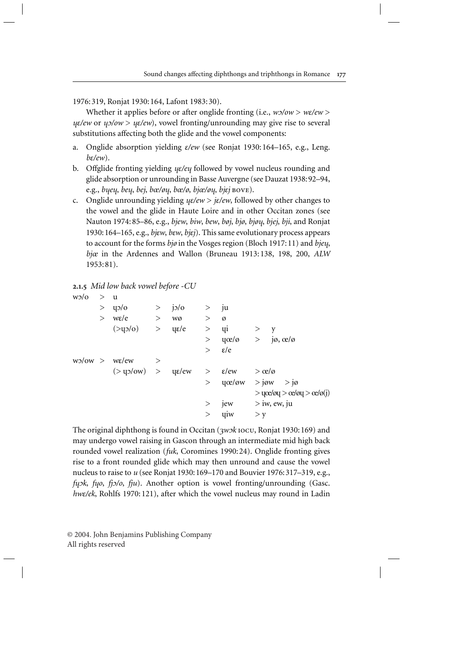#### 1976:319, Ronjat 1930:164, Lafont 1983:30).

Whether it applies before or after onglide fronting (i.e.,  $w$ *z*/*ow* >  $w$ *z*/*ew* > *C7/ew* or *Cf/ow* <sup>&</sup>gt; *C7/ew*), vowel fronting/unrounding may give rise to several substitutions affecting both the glide and the vowel components:

- a. Onglide absorption yielding  $\varepsilon$ /*ew* (see Ronjat 1930:164–165, e.g., Leng. *<sup>b</sup>7/ew*).
- b. Offglide fronting yielding *yε/ey* followed by vowel nucleus rounding and glide absorption or unrounding in Basse Auvergne (see Dauzat 1938:92–94, e.g., *<sup>b</sup>CeC*, *beC*, *bej*, *bœ/øC*, *bœ/ø*, *bjœ/øC*, *bj7<sup>j</sup>* bove).
- c. Onglide unrounding yielding  $\psi \neq \psi \neq \psi$  *j* $\psi$ */ew*, followed by other changes to the vowel and the glide in Haute Loire and in other Occitan zones (see Nauton 1974: 85–86, e.g., *bjew, biw, bew, bøj, bjø, bjøy, bjej, bji,* and Ronjat 1930:164–165, e.g., *bj7w*, *<sup>b</sup>7w*, *bj7j*). This same evolutionary process appears to account for the forms *bjø* in the Vosges region (Bloch 1917:11) and *bjey*, *bjœ* in the Ardennes and Wallon (Bruneau 1913:138, 198, 200, *ALW* 1953:81).

|                     |  |  | 2.1.5 Mid low back vowel before -CU |  |
|---------------------|--|--|-------------------------------------|--|
| $m\lambda_0 \sim m$ |  |  |                                     |  |

| W <sub>2</sub> /Q             | >      | u                 |          |                                 |        |                                                                       |                       |                                  |
|-------------------------------|--------|-------------------|----------|---------------------------------|--------|-----------------------------------------------------------------------|-----------------------|----------------------------------|
|                               | >      | q                 | >        | $j_0$                           | >      | ju                                                                    |                       |                                  |
|                               | $\geq$ | $w\varepsilon/e$  | >        | WØ                              | >      | Ø                                                                     |                       |                                  |
|                               |        | (yq)              | $\rm{>}$ | $\eta \varepsilon/e$            | >      | чi                                                                    | >                     | y                                |
|                               |        |                   |          |                                 | >      | $\text{q}\alpha/\alpha$ > $\text{j}\alpha, \text{\alpha}/\alpha$      |                       |                                  |
|                               |        |                   |          |                                 | $\geq$ | $\varepsilon$ /e                                                      |                       |                                  |
| $\text{w}$ <sup>o</sup> wo/cw |        | $w\epsilon$ /ew   | $\geq$   |                                 |        |                                                                       |                       |                                  |
|                               |        | $($ $>$ yo/cy $>$ |          | $\text{u}\varepsilon/\text{ew}$ | >      | $\varepsilon$ /ew                                                     | $>\alpha/\varnothing$ |                                  |
|                               |        |                   |          |                                 | >      | $\text{q}\alpha/\text{ow}$ > $\text{j}\text{ow}$ > $\text{j}\text{a}$ |                       | $>$ yoe/øy $>$ oe/øy $>$ oe/ø(j) |
|                               |        |                   |          |                                 | >      | jew                                                                   |                       | $>$ iw, ew, ju                   |
|                               |        |                   |          |                                 | >      | yiw                                                                   | > y                   |                                  |
|                               |        |                   |          |                                 |        |                                                                       |                       |                                  |

The original diphthong is found in Occitan (*Šwf<sup>k</sup>* iocu, Ronjat 1930:169) and may undergo vowel raising in Gascon through an intermediate mid high back rounded vowel realization (*fuk*, Coromines 1990:24). Onglide fronting gives rise to a front rounded glide which may then unround and cause the vowel nucleus to raise to *u* (see Ronjat 1930:169–170 and Bouvier 1976:317–319, e.g., *fusk*, *fuo*, *fis/o*, *fiu*). Another option is vowel fronting/unrounding (Gasc. *hw7/ek*, Rohlfs 1970:121), after which the vowel nucleus may round in Ladin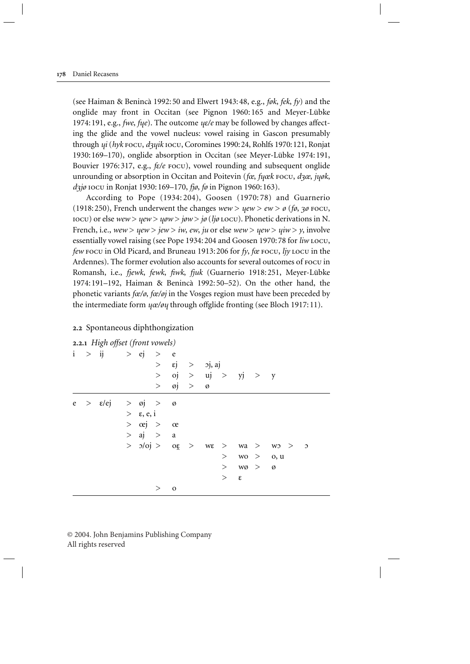(see Haiman & Benincà 1992:50 and Elwert 1943:48, e.g., *føk*, *fek*, *fy*) and the onglide may front in Occitan (see Pignon 1960:165 and Meyer-Lübke 1974:191, e.g., *fwe, fye*). The outcome  $\psi$ */e* may be followed by changes affecting the glide and the vowel nucleus: vowel raising in Gascon presumably through  $\psi$ *i* (*hyk* Focu, *d*<sub>3</sub> $\psi$ *ik* iocu, Coromines 1990:24, Rohlfs 1970:121, Ronjat 1930:169–170), onglide absorption in Occitan (see Meyer-Lübke 1974:191, Bouvier 1976:317, e.g., *f* $\varepsilon$ /*e* Focu), vowel rounding and subsequent onglide unrounding or absorption in Occitan and Poitevin (*fœ*, *fyœk* Focu, *d*3œ, *jyøk*, *<sup>d</sup>Šjø* iocu in Ronjat 1930:169–170, *fjø*, *fø* in Pignon 1960:163).

According to Pope (1934: 204), Goosen (1970: 78) and Guarnerio (1918:250), French underwent the changes  $wew > yew > ew > \emptyset$  (fø,  $\gamma \emptyset$  focu, iocu) or else *wew* > *yew* > *yøw* > *jøw* > *jø* (*ljø* Locu). Phonetic derivations in N. French, i.e.,  $wew > yew > jew > iw$ , *ew*, *ju* or else  $wew > yew > yiw > y$ , involve essentially vowel raising (see Pope 1934:204 and Goosen 1970:78 for *liw* locu, *few* focu in Old Picard, and Bruneau 1913:206 for *fy*, *fœ* focu, *ljy* locu in the Ardennes). The former evolution also accounts for several outcomes of focu in Romansh, i.e., *fjewk*, *fewk*, *fiwk*, *fjuk* (Guarnerio 1918:251, Meyer-Lübke 1974:191–192, Haiman & Benincà 1992:50–52). On the other hand, the phonetic variants *fœ/ø*, *fœ/øj* in the Vosges region must have been preceded by the intermediate form  $\psi \propto \psi/\psi \psi$  through offglide fronting (see Bloch 1917:11).

#### 2.2 Spontaneous diphthongization

|              | 2.2.1 High offset (front vowels) |                   |   |                          |                        |              |       |       |        |             |   |              |         |
|--------------|----------------------------------|-------------------|---|--------------------------|------------------------|--------------|-------|-------|--------|-------------|---|--------------|---------|
| $\mathbf{i}$ | $>$ ij                           |                   |   | $>$ ej                   | $\geq$                 | e            |       |       |        |             |   |              |         |
|              |                                  |                   |   |                          | $\,>$                  | εj           | >     | j, aj |        |             |   |              |         |
|              |                                  |                   |   |                          | >                      | $\sigma$     | $\ge$ | uj >  |        | yj          | > | $\mathbf{y}$ |         |
|              |                                  |                   |   |                          | >                      | øj           | >     | Ø     |        |             |   |              |         |
| e            | >                                | $\varepsilon$ /ej |   | $>$ $\circ$ j            | $\geq$                 | Ø            |       |       |        |             |   |              |         |
|              |                                  |                   |   | $>$ $\varepsilon$ , e, i |                        |              |       |       |        |             |   |              |         |
|              |                                  |                   | > | $\alpha j >$             |                        | œ            |       |       |        |             |   |              |         |
|              |                                  |                   | > | aj                       | $\geq$                 | <sub>a</sub> |       |       |        |             |   |              |         |
|              |                                  |                   | > |                          | $\langle$ oj $\rangle$ | $\log$ >     |       | wε    | $\geq$ | wa >        |   | W2 >         | $\circ$ |
|              |                                  |                   |   |                          |                        |              |       |       | >      | wo >        |   | o, u         |         |
|              |                                  |                   |   |                          |                        |              |       |       | >      | $w\omega >$ |   | Ø            |         |
|              |                                  |                   |   |                          |                        |              |       |       | $\geq$ | ε           |   |              |         |
|              |                                  |                   |   |                          |                        | $\mathbf{O}$ |       |       |        |             |   |              |         |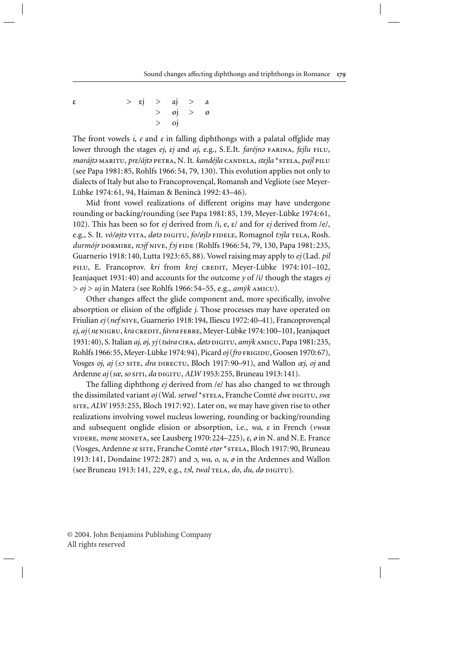$\epsilon$  >  $\epsilon$  > aj > aj > a<br>>  $\epsilon$  > aj > a  $\omega$ j >  $>$  oj<br> $>$  oj

The front vowels *i*,  $e$  and  $\epsilon$  in falling diphthongs with a palatal offglide may lower through the stages *ej*, *εj* and *aj*, e.g., S.E.It. *faréjn* FARINA, *fejlu* FILU, *marájt6* maritu, *pr7/ájt6* petra, N. It. *kandéjla* candela, *st7jla* \*stela, *pajl* pilu (see Papa 1981:85, Rohlfs 1966:54, 79, 130). This evolution applies not only to dialects of Italy but also to Francoprovençal, Romansh and Vegliote (see Meyer-Lübke 1974:61, 94, Haiman & Benincà 1992:43–46).

Mid front vowel realizations of different origins may have undergone rounding or backing/rounding (see Papa 1981:85, 139, Meyer-Lübke 1974:61, 102). This has been so for *ej* derived from /i, e, ε/ and for *εj* derived from /e/, e.g., S. It. *vó/øjt6* vita, *døt6* digitu, *fo/øjl6* fidele, Romagnol *<sup>t</sup>fjla* tela, Rosh. *durmójr* dormire, *<sup>n</sup>fjf* nive, *<sup>f</sup>f<sup>j</sup>* fide (Rohlfs 1966:54, 79, 130, Papa 1981:235, Guarnerio 1918:140, Lutta 1923:65, 88). Vowel raising may apply to *ej*(Lad. *pil* pilu, E. Francoprov. *kri* from *krej* CREDIT, Meyer-Lübke 1974:101-102, Jeanjaquet 1931:40) and accounts for the outcome *y* of /i/ though the stages *ej* > *oj* > *uj* in Matera (see Rohlfs 1966:54–55, e.g., *amýk* amicu).

Other changes affect the glide component and, more specifically, involve absorption or elision of the offglide *j*. Those processes may have operated on Friulian *ej* (*nef* nive, Guarnerio 1918:194, Iliescu 1972:40–41), Francoprovençal  $\epsilon$ *j*, *aj*(*n* $\epsilon$ NIGRU, *kra* cREDIT, *fávra* FEBRE, Meyer-Lübke 1974: 100–101, Jeanjaquet 1931:40), S. Italian *aj*, *øj*, *yj*(*tsára* cira, *døt6* digitu, *amýk* amicu, Papa 1981:235, Rohlfs 1966:55, Meyer-Lübke 1974:94), Picard *oj*(*fro* frigidu, Goosen 1970:67), Vosges *oj, aj* (*s*<sup>2</sup> site, *dra* directu, Bloch 1917:90-91), and Wallon *œj, oj* and Ardenne *aj*(*sœ*, *so* siti, *da* digitu, *ALW* 1953:255, Bruneau 1913:141).

The falling diphthong *ej* derived from /e/ has also changed to *wz* through the dissimilated variant  $oj$  (Wal. *setwel* \* STELA, Franche Comté *dwe* DIGITU, *swe* sITE, ALW 1953:255, Bloch 1917:92). Later on, we may have given rise to other realizations involving vowel nucleus lowering, rounding or backing/rounding and subsequent onglide elision or absorption, i.e., wa,  $\varepsilon$  in French (*vwar* videre, *mon7* moneta, see Lausberg 1970:224–225), *7*, *<sup>ø</sup>* in N. and N.E. France (Vosges, Ardenne *<sup>s</sup>7* site, Franche Comté *etør* \*stela, Bloch 1917:90, Bruneau 1913:141, Dondaine 1972:287) and *f*, *wa*, *<sup>o</sup>*, *<sup>u</sup>*, *<sup>ø</sup>* in the Ardennes and Wallon (see Bruneau 1913:141, 229, e.g., *<sup>t</sup>fl*, *twal* tela, *do*, *du*, *dø* digitu).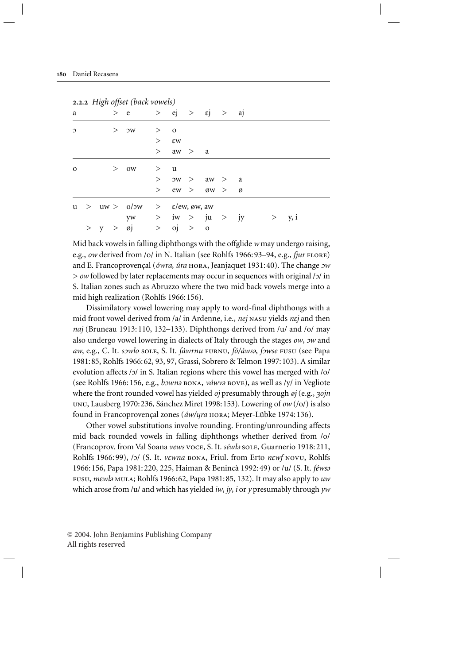|               | 2.2.2 High offset (back vowels) |                       |   |                     |                               |              |                   |                                    |   |               |     |      |  |
|---------------|---------------------------------|-----------------------|---|---------------------|-------------------------------|--------------|-------------------|------------------------------------|---|---------------|-----|------|--|
| a             |                                 |                       | > | e e                 |                               | $>$ ej $>$   |                   | $\varepsilon$ j                    | > | <sub>aj</sub> |     |      |  |
| $\mathcal{D}$ |                                 |                       | > | <b>OW</b>           | >                             | $\mathbf{o}$ |                   |                                    |   |               |     |      |  |
|               |                                 |                       |   |                     | >                             | εw           |                   |                                    |   |               |     |      |  |
|               |                                 |                       |   |                     | >                             | aw >         |                   | a a                                |   |               |     |      |  |
| $\mathbf 0$   |                                 |                       | > | <b>OW</b>           | >                             | u            |                   |                                    |   |               |     |      |  |
|               |                                 |                       |   |                     | >                             |              |                   | $\text{ow} > \text{aw} > \text{a}$ |   |               |     |      |  |
|               |                                 |                       |   |                     | >                             |              |                   | ew > gw > 0                        |   |               |     |      |  |
| u             |                                 |                       |   | $>$ uw $>$ o/ $>$ w | $>$ $\varepsilon$ /ew, øw, aw |              |                   |                                    |   |               |     |      |  |
|               |                                 |                       |   | yw                  | $>$ iw $>$ ju $>$ jy          |              |                   |                                    |   |               | $>$ | y, i |  |
|               |                                 | $> y > \varnothing j$ |   |                     | $>$                           | oj           | $\qquad \qquad >$ | $\overline{O}$                     |   |               |     |      |  |

> y > øj > oj > o Mid back vowels in falling diphthongs with the offglide *w* may undergo raising, e.g., *ow* derived from /o/ in N. Italian (see Rohlfs 1966:93–94, e.g., *fjur* flore) and E. Francoprovençal (ówra, úra **HORA, Jeanjaquet 1931:40)**. The change  $\alpha w$ 

 $>$  *ow* followed by later replacements may occur in sequences with original /ɔ/ in S. Italian zones such as Abruzzo where the two mid back vowels merge into a mid high realization (Rohlfs 1966:156).

Dissimilatory vowel lowering may apply to word-final diphthongs with a mid front vowel derived from /a/ in Ardenne, i.e., *nej* NASU yields *nej* and then *naj* (Bruneau 1913:110, 132–133). Diphthongs derived from /u/ and /o/ may also undergo vowel lowering in dialects of Italy through the stages *ow*, *yw* and *aw*, e.g., C. It. *<sup>s</sup>fwlo* sole, S. It. *fáwrnu* furnu, *fó/áws6*, *<sup>f</sup>fwse* fusu (see Papa 1981:85, Rohlfs 1966:62, 93, 97, Grassi, Sobrero & Telmon 1997:103). A similar evolution affects  $\frac{1}{2}$  in S. Italian regions where this vowel has merged with  $\frac{1}{0}$ (see Rohlfs 1966:156, e.g., *<sup>b</sup>fwn6* bona, *váwv6* bove), as well as /y/ in Vegliote where the front rounded vowel has yielded *oj* presumably through *øj* (e.g., *zojn* unu, Lausberg 1970:236, Sánchez Miret 1998:153). Lowering of *ow* (/o/) is also found in Francoprovençal zones (*áw/yra* нова; Meyer-Lübke 1974:136).

Other vowel substitutions involve rounding. Fronting/unrounding affects mid back rounded vowels in falling diphthongs whether derived from /o/ (Francoprov. from Val Soana *vews* voce, S. It. *séwl6* sole, Guarnerio 1918:211, Rohlfs 1966:99), /ɔ/ (S. It. *v* $\epsilon$ *wna* bona, Friul. from Erto *n* $\epsilon$ *wf* novu, Rohlfs 1966:156, Papa 1981:220, 225, Haiman & Benincà 1992:49) or /u/ (S. It. *féws6* fusu, *<sup>m</sup>7wl6* mula; Rohlfs 1966:62, Papa 1981:85, 132). It may also apply to *uw* which arose from /u/ and which has yielded *iw*, *jy*, *i* or *y* presumably through *yw*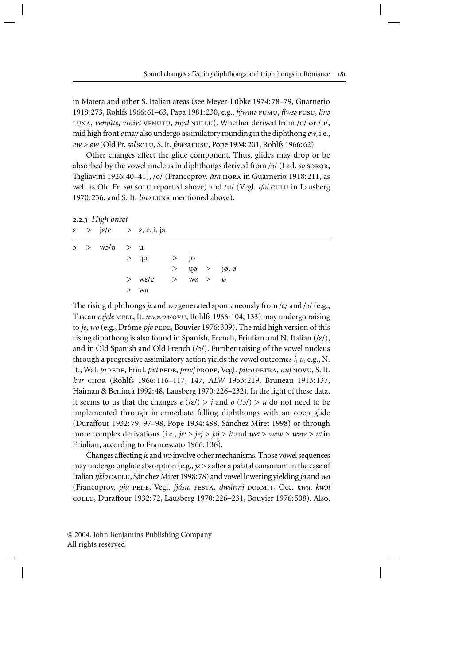in Matera and other S. Italian areas (see Meyer-Lübke 1974:78–79, Guarnerio 1918:273, Rohlfs 1966:61-63, Papa 1981:230, e.g., *fýwma* FUMU, *fíwsa* FUSU, *lína* LUNA, *venjúte*, *viníyt* VENUTU, *njyd* NULLU). Whether derived from /o/ or /u/, mid high front*e* may also undergo assimilatory rounding in the diphthong *ew*, i.e., *ew* <sup>&</sup>gt; *øw* (Old Fr. *søl* solu, S. It. *føws6* fusu, Pope 1934:201, Rohlfs 1966:62).

Other changes affect the glide component. Thus, glides may drop or be absorbed by the vowel nucleus in diphthongs derived from  $/$  (Lad. *so* soror, Tagliavini 1926:40–41), /o/ (Francoprov. *ára* hora in Guarnerio 1918:211, as well as Old Fr. *søl* solu reported above) and /u/ (Vegl. *t*/*ol* culu in Lausberg 1970: 236, and S. It. *lina* LUNA mentioned above).

#### 2.2.3 *High onset*

|  | $\varepsilon$ > j $\varepsilon/e$ | $>$ $\varepsilon$ , e, i, ja |  |
|--|-----------------------------------|------------------------------|--|
|  |                                   |                              |  |

|  | 2 > w <sub>2</sub> /o > u |          |            |  |                                                           |
|--|---------------------------|----------|------------|--|-----------------------------------------------------------|
|  |                           | $>$ yo   | $>$ 10     |  |                                                           |
|  |                           |          |            |  | $>$ $\mu \varnothing >$ $\mu \varnothing$ , $\varnothing$ |
|  |                           | $>$ we/e | $>$ wø $>$ |  | Ø                                                         |
|  |                           | $>$ wa   |            |  |                                                           |

The rising diphthongs *j* $\epsilon$  and *wj* generated spontaneously from / $\epsilon$ / and / $\epsilon$ / (e.g., Tuscan *mjele* MELE, It. *nwovo* NOVU, Rohlfs 1966: 104, 133) may undergo raising to *je*, *wo* (e.g., Drôme *pje* pede, Bouvier 1976:309). The mid high version of this rising diphthong is also found in Spanish, French, Friulian and N. Italian (/ $\varepsilon$ /), and in Old Spanish and Old French  $(1/2)$ . Further raising of the vowel nucleus through a progressive assimilatory action yields the vowel outcomes *i*, *u*, e.g., N. It., Wal. *pi* pede, Friul. *pi˜<sup>t</sup>* pede, *pru˜<sup>f</sup>* prope, Vegl. *pítra* petra, *nuf* novu, S. It. *kur* chor (Rohlfs 1966:116–117, 147, *ALW* 1953:219, Bruneau 1913:137, Haiman & Benincà 1992:48, Lausberg 1970:226–232). In the light of these data, it seems to us that the changes  $e(|\varepsilon|) > i$  and  $o(|\varepsilon|) > u$  do not need to be implemented through intermediate falling diphthongs with an open glide (Duraffour 1932:79, 97–98, Pope 1934:488, Sánchez Miret 1998) or through more complex derivations (i.e., *jeː* > *jej* > *jaj* > *iz* and *weː* > *wew* > *waw* > *uz* in Friulian, according to Francescato 1966:136).

Changes affecting *je* and *w*<sub>2</sub> involve other mechanisms. Those vowel sequences may undergo onglide absorption (e.g.,  $j\epsilon$  >  $\epsilon$  after a palatal consonant in the case of Italian *tfelo* CAELU, Sánchez Miret 1998:78) and vowel lowering yielding *ja* and *wa* (Francoprov. *pja* pede, Vegl. *fjásta* festa, *dwármi* dormit, Occ. *kwa*, *kwf<sup>l</sup>* collu, Duraffour 1932:72, Lausberg 1970:226–231, Bouvier 1976:508). Also,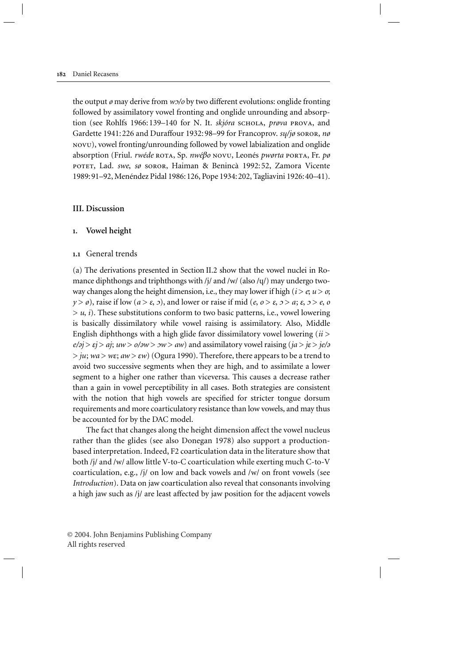the output *<sup>ø</sup>* may derive from *<sup>w</sup>f/o* by two different evolutions: onglide fronting followed by assimilatory vowel fronting and onglide unrounding and absorption (see Rohlfs 1966:139–140 for N. It. *skjóra* schola, *prøva* prova, and Gardette 1941:226 and Duraffour 1932:98-99 for Francoprov. *sy/jø* soror, *nø* novu), vowel fronting/unrounding followed by vowel labialization and onglide absorption (Friul. *rwéde* rota, Sp. *nwéö<sup>o</sup>* novu, Leonés *pwørta* porta, Fr. *pø* potet, Lad. *swe*, *sø* soror, Haiman & Benincà 1992:52, Zamora Vicente 1989:91–92, Menéndez Pidal 1986:126, Pope 1934:202, Tagliavini 1926:40–41).

#### III. Discussion

#### 1. Vowel height

#### 1.1 General trends

(a) The derivations presented in Section II.2 show that the vowel nuclei in Romance diphthongs and triphthongs with /j/ and /w/ (also / $\eta$ /) may undergo twoway changes along the height dimension, i.e., they may lower if high ( $i > e$ ;  $u > o$ ;  $y > \emptyset$ , raise if low  $(a > \varepsilon, 2)$ , and lower or raise if mid  $(e, 0 > \varepsilon, 2 > a; \varepsilon, 2 > e, 0$  $>$   $u$ ,  $i$ ). These substitutions conform to two basic patterns, i.e., vowel lowering is basically dissimilatory while vowel raising is assimilatory. Also, Middle English diphthongs with a high glide favor dissimilatory vowel lowering (*ii* >  $e/\partial i$  >  $\epsilon$ *j* > *aj*; *uw* >  $o/\partial w$  >  $\partial w$  >  $a w$  and assimilatory vowel raising ( $i$  $a$  >  $j$  $\epsilon$  >  $j$  $e/\partial w$  $> ju$ ; *wa*  $> w\epsilon$ ; *aw*  $> \epsilon w$ ) (Ogura 1990). Therefore, there appears to be a trend to avoid two successive segments when they are high, and to assimilate a lower segment to a higher one rather than viceversa. This causes a decrease rather than a gain in vowel perceptibility in all cases. Both strategies are consistent with the notion that high vowels are specified for stricter tongue dorsum requirements and more coarticulatory resistance than low vowels, and may thus be accounted for by the DAC model.

The fact that changes along the height dimension affect the vowel nucleus rather than the glides (see also Donegan 1978) also support a productionbased interpretation. Indeed, F2 coarticulation data in the literature show that both /j/ and /w/ allow little V-to-C coarticulation while exerting much C-to-V coarticulation, e.g., /j/ on low and back vowels and /w/ on front vowels (see *Introduction*). Data on jaw coarticulation also reveal that consonants involving a high jaw such as /j/ are least affected by jaw position for the adjacent vowels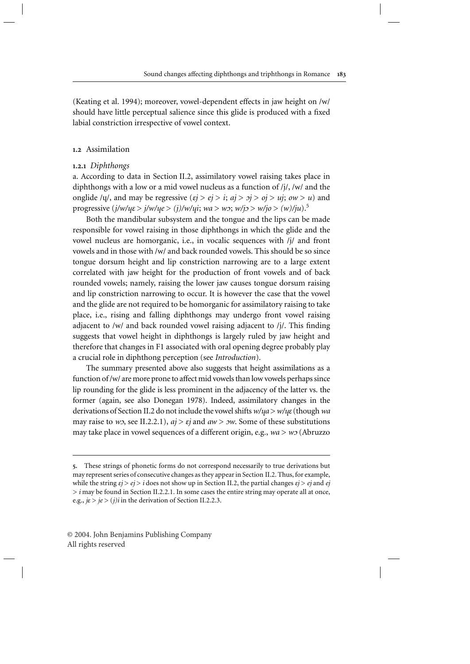(Keating et al. 1994); moreover, vowel-dependent effects in jaw height on /w/ should have little perceptual salience since this glide is produced with a fixed labial constriction irrespective of vowel context.

#### 1.2 Assimilation

#### 1.2.1 *Diphthongs*

a. According to data in Section II.2, assimilatory vowel raising takes place in diphthongs with a low or a mid vowel nucleus as a function of /j/, /w/ and the onglide / $\psi$ , and may be regressive ( $\epsilon j > \epsilon j > i$ ; *aj* > *oj* > *oj* > *uj*; *ow* > *u*) and progressive  $(j/w/\psi \ge j/w/\psi \ge (j)/w/\psi$ ; *wa* > *w*<sub>j</sub>; *w*/*j*<sub>2</sub> > *w*/*j*<sub>0</sub> >  $(w)/ju$ ).<sup>5</sup>

Both the mandibular subsystem and the tongue and the lips can be made responsible for vowel raising in those diphthongs in which the glide and the vowel nucleus are homorganic, i.e., in vocalic sequences with /j/ and front vowels and in those with /w/ and back rounded vowels. This should be so since tongue dorsum height and lip constriction narrowing are to a large extent correlated with jaw height for the production of front vowels and of back rounded vowels; namely, raising the lower jaw causes tongue dorsum raising and lip constriction narrowing to occur. It is however the case that the vowel and the glide are not required to be homorganic for assimilatory raising to take place, i.e., rising and falling diphthongs may undergo front vowel raising adjacent to /w/ and back rounded vowel raising adjacent to /j/. This finding suggests that vowel height in diphthongs is largely ruled by jaw height and therefore that changes in F1 associated with oral opening degree probably play a crucial role in diphthong perception (see *Introduction*).

The summary presented above also suggests that height assimilations as a function of /w/ are more prone to affect mid vowels than low vowels perhaps since lip rounding for the glide is less prominent in the adjacency of the latter vs. the former (again, see also Donegan 1978). Indeed, assimilatory changes in the derivations of Section II.2 do not include the vowel shifts  $w/\mu$ *a* >  $w/\mu$ *c* (though *wa* may raise to *w*<sub>2</sub>, see II.2.2.1),  $aj > \varepsilon j$  and  $aw > \varepsilon w$ . Some of these substitutions may take place in vowel sequences of a different origin, e.g., *wa* <sup>&</sup>gt; *<sup>w</sup>f* (Abruzzo

<sup>5</sup>. These strings of phonetic forms do not correspond necessarily to true derivations but may represent series of consecutive changes as they appear in Section II.2. Thus, for example, while the string  $\epsilon j > \epsilon j > i$  does not show up in Section II.2, the partial changes  $\epsilon j > \epsilon j$  and  $\epsilon j$  $>$  *i* may be found in Section II.2.2.1. In some cases the entire string may operate all at once, e.g.,  $j\epsilon$  >  $j\epsilon$  >  $(j)i$  in the derivation of Section II.2.2.3.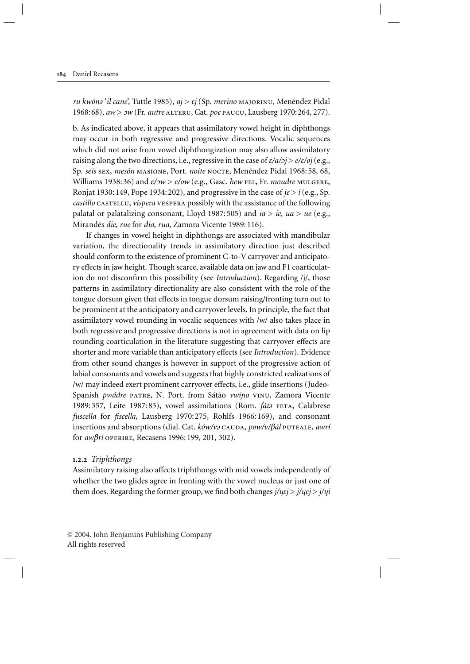*ru kwón6* '*il cane*', Tuttle 1985), *aj* <sup>&</sup>gt; *7<sup>j</sup>* (Sp. *merino* majorinu, Menéndez Pidal 1968:68), *aw* <sup>&</sup>gt; *f<sup>w</sup>* (Fr. *autre* alteru, Cat. *poc* paucu, Lausberg 1970:264, 277).

b. As indicated above, it appears that assimilatory vowel height in diphthongs may occur in both regressive and progressive directions. Vocalic sequences which did not arise from vowel diphthongization may also allow assimilatory raising along the two directions, i.e., regressive in the case of  $\frac{\varepsilon}{a/2} > \frac{e}{\varepsilon}$  /*oj* (e.g., Sp. *seis* sex, *mesón* masione, Port. *noite* nocte, Menéndez Pidal 1968:58, 68, Williams 1938:36) and *7/f<sup>w</sup>* <sup>&</sup>gt; *e/ow* (e.g., Gasc. *hew* fel, Fr. *moudre* mulgere, Ronjat 1930:149, Pope 1934:202), and progressive in the case of  $je > i$  (e.g., Sp. *castillo* CASTELLU, *víspera* VESPERA possibly with the assistance of the following palatal or palatalizing consonant, Lloyd 1987:505) and *ia* > *ie*, *ua* > *ue* (e.g., Mirandés *die*, *rue* for *día*, *rua*, Zamora Vicente 1989:116).

If changes in vowel height in diphthongs are associated with mandibular variation, the directionality trends in assimilatory direction just described should conform to the existence of prominent C-to-V carryover and anticipatory effects in jaw height. Though scarce, available data on jaw and F1 coarticulation do not disconfirm this possibility (see *Introduction*). Regarding /j/, those patterns in assimilatory directionality are also consistent with the role of the tongue dorsum given that effects in tongue dorsum raising/fronting turn out to be prominent at the anticipatory and carryover levels. In principle, the fact that assimilatory vowel rounding in vocalic sequences with /w/ also takes place in both regressive and progressive directions is not in agreement with data on lip rounding coarticulation in the literature suggesting that carryover effects are shorter and more variable than anticipatory effects (see *Introduction*). Evidence from other sound changes is however in support of the progressive action of labial consonants and vowels and suggests that highly constricted realizations of /w/ may indeed exert prominent carryover effects, i.e., glide insertions (Judeo-Spanish *pwádre* PATRE, N. Port. from Sátão *vwĩno* vinu, Zamora Vicente 1989:357, Leite 1987:83), vowel assimilations (Rom. *fát6* feta, Calabrese *fuscella* for *fiscella*, Lausberg 1970:275, Rohlfs 1966:169), and consonant insertions and absorptions (dial. Cat. *ków/va* caupa, *pow/v/* $\beta$ *ál* puteale, *awrí* for *awörí* operire, Recasens 1996:199, 201, 302).

#### 1.2.2 *Triphthongs*

Assimilatory raising also affects triphthongs with mid vowels independently of whether the two glides agree in fronting with the vowel nucleus or just one of them does. Regarding the former group, we find both changes  $j/\gamma\epsilon j > j/\gamma\epsilon j > j/\gamma i$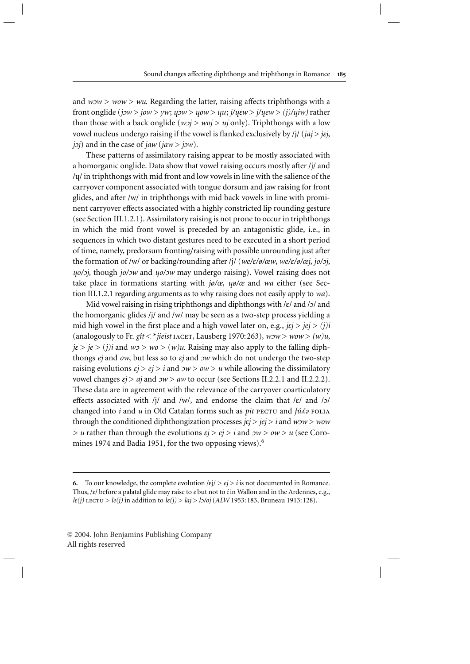and *<sup>w</sup>f<sup>w</sup>* <sup>&</sup>gt; *wow* <sup>&</sup>gt; *wu*. Regarding the latter, raising affects triphthongs with a front onglide (*j* $dw$  > *jow* > *yw*;  $\psi$ *yw* >  $\psi$  $\psi$  >  $\psi$ *u*;  $\psi$  $\psi$  $\psi$  >  $\psi$  $\psi$  $\psi$  /  $\psi$  /  $\psi$  /  $\psi$  /  $\psi$  /  $\psi$  /  $\psi$  /  $\psi$  /  $\psi$  /  $\psi$  /  $\psi$  /  $\psi$  /  $\psi$  /  $\psi$  /  $\psi$  /  $\psi$  /  $\psi$  /  $\psi$  /  $\psi$ than those with a back onglide ( $w$ *j* >  $w$ *j* >  $u$ *j* only). Triphthongs with a low vowel nucleus undergo raising if the vowel is flanked exclusively by /j/  $(jai > j\epsilon j, j$ *j* $j$ *j*) and in the case of *jaw* (*jaw* > *j* $>$ *j* $w$ ).

These patterns of assimilatory raising appear to be mostly associated with a homorganic onglide. Data show that vowel raising occurs mostly after /j/ and  $/y/$  in triphthongs with mid front and low vowels in line with the salience of the carryover component associated with tongue dorsum and jaw raising for front glides, and after /w/ in triphthongs with mid back vowels in line with prominent carryover effects associated with a highly constricted lip rounding gesture (see Section III.1.2.1). Assimilatory raising is not prone to occur in triphthongs in which the mid front vowel is preceded by an antagonistic glide, i.e., in sequences in which two distant gestures need to be executed in a short period of time, namely, predorsum fronting/raising with possible unrounding just after the formation of /w/ or backing/rounding after /j/ (*we/7/ø/œw*, *we/7/ø/œj*, *jo/fj*, *uo/j*, though *jo/yw* and *yo/yw* may undergo raising). Vowel raising does not take place in formations starting with  $j\phi/\alpha$ ,  $\psi/\alpha$  and wa either (see Section III.1.2.1 regarding arguments as to why raising does not easily apply to *wa*).

Mid vowel raising in rising triphthongs and diphthongs with  $/\varepsilon$ / and  $/$ o/ and the homorganic glides /j/ and /w/ may be seen as a two-step process yielding a mid high vowel in the first place and a high vowel later on, e.g.,  $j\epsilon j > j\epsilon j > (j)i$ (analogously to Fr.  $g\hat{i}t < *j\hat{i}$ *eist* IACET, Lausberg 1970:263),  $w$ *zw* >  $w$ *ow* >  $(w)u$ ,  $j\epsilon$  >  $j\epsilon$  >  $(j)i$  and  $w$ *j* >  $w$  $\delta$  >  $(w)u$ . Raising may also apply to the falling diphthongs  $ej$  and  $ow$ , but less so to  $ej$  and  $zw$  which do not undergo the two-step raising evolutions  $\epsilon j > \epsilon j > i$  and  $\epsilon j > \epsilon w > w$  while allowing the dissimilatory vowel changes  $\varepsilon j > a j$  and  $\sigma w > a w$  to occur (see Sections II.2.2.1 and II.2.2.2). These data are in agreement with the relevance of the carryover coarticulatory effects associated with  $/j/$  and  $/w/$ , and endorse the claim that  $/\varepsilon/$  and  $/j/$ changed into *i* and *u* in Old Catalan forms such as *pit* PECTU and *fúla* FOLIA through the conditioned diphthongization processes  $j\epsilon j > j\epsilon j > i$  and  $w \rightarrow w \rightarrow w \rightarrow w$  $> u$  rather than through the evolutions  $\epsilon j > \epsilon j > i$  and  $\epsilon j > v \leq u$  (see Coromines 1974 and Badia 1951, for the two opposing views).<sup>6</sup>

<sup>6.</sup> To our knowledge, the complete evolution  $\sqrt{\varepsilon}$  *i* > *ej* > *i* is not documented in Romance. Thus, / $\varepsilon$ / before a palatal glide may raise to *e* but not to *i* in Wallon and in the Ardennes, e.g.,  $k(j)$  lectu >  $l(e(j))$  in addition to  $l(e(j)) > laj > l_2$ */oj* (*ALW* 1953:183, Bruneau 1913:128).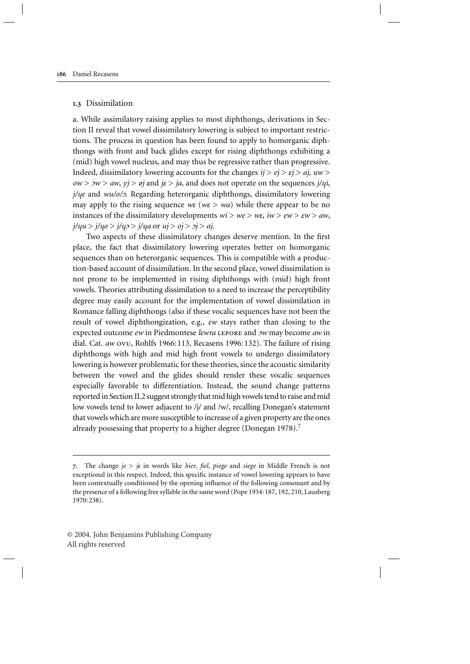#### 1.3 Dissimilation

a. While assimilatory raising applies to most diphthongs, derivations in Section II reveal that vowel dissimilatory lowering is subject to important restrictions. The process in question has been found to apply to homorganic diphthongs with front and back glides except for rising diphthongs exhibiting a (mid) high vowel nucleus, and may thus be regressive rather than progressive. Indeed, dissimilatory lowering accounts for the changes  $i j > e j > e j > a j$ ,  $u w >$  $ow > 2w > aw$ ,  $yj > \emptyset j$  and  $j\epsilon > ja$ , and does not operate on the sequences  $j/4j$ , *j/ye* and *wu/o/2*. Regarding heterorganic diphthongs, dissimilatory lowering may apply to the rising sequence  $w\epsilon$  ( $w\epsilon$  >  $wa$ ) while there appear to be no instances of the dissimilatory developments  $wi > we > w\epsilon$ ,  $iw > ew > ew > aw$ ,  $j/\mu$  $\nu > j/\mu$  $\circ$   $\frac{1}{\mu}$  $\circ$   $\frac{1}{\mu}$  $\circ$   $\frac{1}{\mu}$   $\circ$   $\frac{1}{\mu}$  $\circ$   $\frac{1}{\mu}$  $\circ$   $\frac{1}{\mu}$  $\circ$   $\frac{1}{\mu}$ 

Two aspects of these dissimilatory changes deserve mention. In the first place, the fact that dissimilatory lowering operates better on homorganic sequences than on heterorganic sequences. This is compatible with a production-based account of dissimilation. In the second place, vowel dissimilation is not prone to be implemented in rising diphthongs with (mid) high front vowels. Theories attributing dissimilation to a need to increase the perceptibility degree may easily account for the implementation of vowel dissimilation in Romance falling diphthongs (also if these vocalic sequences have not been the result of vowel diphthongization, e.g., *EW* stays rather than closing to the expected outcome *ew* in Piedmontese *<sup>l</sup>7wra* lepore and *f<sup>w</sup>* may become *aw* in dial. Cat. *aw* ovu, Rohlfs 1966:113, Recasens 1996:132). The failure of rising diphthongs with high and mid high front vowels to undergo dissimilatory lowering is however problematic for these theories, since the acoustic similarity between the vowel and the glides should render these vocalic sequences especially favorable to differentiation. Instead, the sound change patterns reported in Section II.2 suggest strongly that mid high vowels tend to raise and mid low vowels tend to lower adjacent to /j/ and /w/, recalling Donegan's statement that vowels which are more susceptible to increase of a given property are the ones already possessing that property to a higher degree (Donegan 1978).<sup>7</sup>

<sup>7</sup>. The change *je* <sup>&</sup>gt; *<sup>j</sup>7* in words like *hier*, *fiel*, *piege* and *siege* in Middle French is not exceptional in this respect. Indeed, this specific instance of vowel lowering appears to have been contextually conditioned by the opening influence of the following consonant and by the presence of a following free syllable in the same word (Pope 1934:187, 192, 210, Lausberg 1970:238).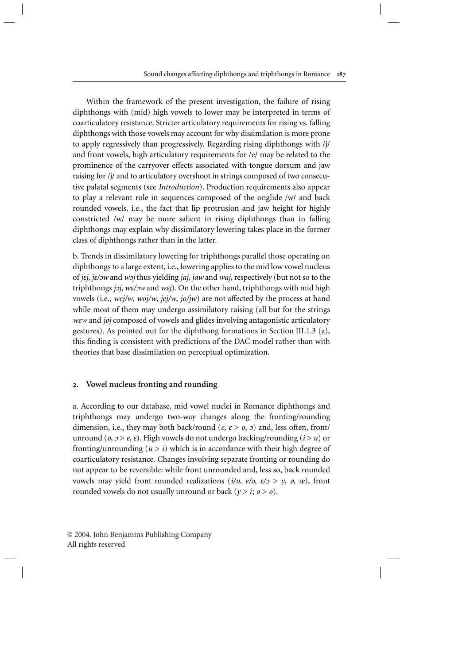Within the framework of the present investigation, the failure of rising diphthongs with (mid) high vowels to lower may be interpreted in terms of coarticulatory resistance. Stricter articulatory requirements for rising vs. falling diphthongs with those vowels may account for why dissimilation is more prone to apply regressively than progressively. Regarding rising diphthongs with /j/ and front vowels, high articulatory requirements for /e/ may be related to the prominence of the carryover effects associated with tongue dorsum and jaw raising for /j/ and to articulatory overshoot in strings composed of two consecutive palatal segments (see *Introduction*). Production requirements also appear to play a relevant role in sequences composed of the onglide /w/ and back rounded vowels, i.e., the fact that lip protrusion and jaw height for highly constricted /w/ may be more salient in rising diphthongs than in falling diphthongs may explain why dissimilatory lowering takes place in the former class of diphthongs rather than in the latter.

b. Trends in dissimilatory lowering for triphthongs parallel those operating on diphthongs to a large extent, i.e., lowering applies to the mid low vowel nucleus of *<sup>j</sup>7j*, *<sup>j</sup>7/f<sup>w</sup>* and *<sup>w</sup>f<sup>j</sup>* thus yielding *jaj*, *jaw* and *waj*, respectively (but not so to the triphthongs *<sup>j</sup>fj*, *<sup>w</sup>7/f<sup>w</sup>* and *<sup>w</sup>7j*). On the other hand, triphthongs with mid high vowels (i.e., *wej/w*, *woj/w*, *jej/w*, *jo/jw*) are not affected by the process at hand while most of them may undergo assimilatory raising (all but for the strings *wew* and *joj* composed of vowels and glides involving antagonistic articulatory gestures). As pointed out for the diphthong formations in Section III.1.3 (a), this finding is consistent with predictions of the DAC model rather than with theories that base dissimilation on perceptual optimization.

#### 2. Vowel nucleus fronting and rounding

a. According to our database, mid vowel nuclei in Romance diphthongs and triphthongs may undergo two-way changes along the fronting/rounding dimension, i.e., they may both back/round ( $e$ ,  $\varepsilon$  >  $o$ ,  $\sigma$ ) and, less often, front/ unround ( $o$ ,  $\rho$  >  $e$ ,  $\varepsilon$ ). High vowels do not undergo backing/rounding ( $i > u$ ) or fronting/unrounding  $(u > i)$  which is in accordance with their high degree of coarticulatory resistance. Changes involving separate fronting or rounding do not appear to be reversible: while front unrounded and, less so, back rounded vowels may yield front rounded realizations ( $i/u$ ,  $e/o$ ,  $\varepsilon/2 > y$ ,  $\varnothing$ ,  $\varnothing$ ), front rounded vowels do not usually unround or back  $(y > i; \varrho > o)$ .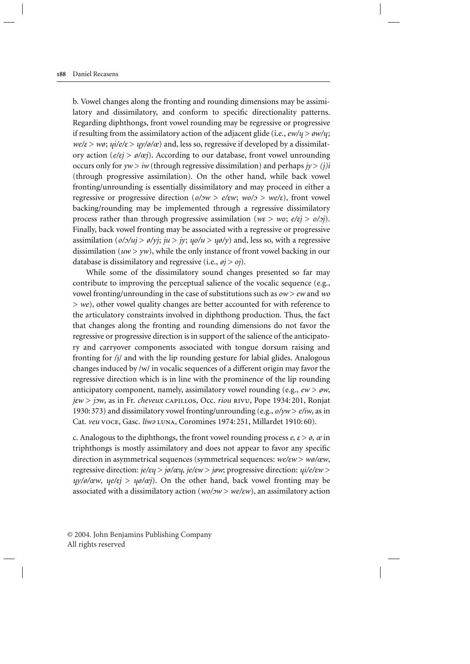b. Vowel changes along the fronting and rounding dimensions may be assimilatory and dissimilatory, and conform to specific directionality patterns. Regarding diphthongs, front vowel rounding may be regressive or progressive if resulting from the assimilatory action of the adjacent glide (i.e.,  $\frac{ew}{y} > \frac{dw}{y}$ ;  $we/\varepsilon$  > *wø*;  $\psi/|\varepsilon| \leq \psi/|\phi| \leq \varepsilon$  and, less so, regressive if developed by a dissimilatory action ( $e/\epsilon j > \varrho/\alpha q$ ). According to our database, front vowel unrounding occurs only for  $yw > iw$  (through regressive dissimilation) and perhaps  $jy > (j)i$ (through progressive assimilation). On the other hand, while back vowel fronting/unrounding is essentially dissimilatory and may proceed in either a regressive or progressive direction ( $o/ow > e/ew$ ;  $wo/2 > we/e$ ), front vowel backing/rounding may be implemented through a regressive dissimilatory process rather than through progressive assimilation ( $w\epsilon > w\sigma$ ;  $e/\epsilon j > o/(\epsilon j)$ ). Finally, back vowel fronting may be associated with a regressive or progressive assimilation ( $o/2/uj > o/yi$ ;  $ju > jy$ ;  $\psi/2/u > \psi/2$  and, less so, with a regressive dissimilation ( $uw$  >  $yw$ ), while the only instance of front vowel backing in our database is dissimilatory and regressive (i.e., *øj* > *oj*).

While some of the dissimilatory sound changes presented so far may contribute to improving the perceptual salience of the vocalic sequence (e.g., vowel fronting/unrounding in the case of substitutions such as *ow* > *ew* and *wo* > *we*), other vowel quality changes are better accounted for with reference to the articulatory constraints involved in diphthong production. Thus, the fact that changes along the fronting and rounding dimensions do not favor the regressive or progressive direction is in support of the salience of the anticipatory and carryover components associated with tongue dorsum raising and fronting for /j/ and with the lip rounding gesture for labial glides. Analogous changes induced by /w/ in vocalic sequences of a different origin may favor the regressive direction which is in line with the prominence of the lip rounding anticipatory component, namely, assimilatory vowel rounding (e.g., *ew* > *øw*, *<sup>j</sup>7<sup>w</sup>* <sup>&</sup>gt; *<sup>j</sup>fw*, as in Fr. *cheveux* capillos, Occ. *riou* rivu, Pope 1934:201, Ronjat 1930:373) and dissimilatory vowel fronting/unrounding (e.g., *o/yw* > *e/iw*, as in Cat. *veu* voce, Gasc. líwa LUNA, Coromines 1974: 251, Millardet 1910: 60).

c. Analogous to the diphthongs, the front vowel rounding process  $e, \varepsilon > \varrho, \alpha$  in triphthongs is mostly assimilatory and does not appear to favor any specific direction in asymmetrical sequences (symmetrical sequences: *we/εw > wø/œw*, regressive direction:  $j\epsilon/\epsilon\gamma > j\omega/\alpha\gamma$ ,  $j\epsilon/\epsilon w > j\omega w$ ; progressive direction:  $\gamma i/\epsilon/\epsilon w > j\omega w$  $\frac{dy}{\theta x}$ ,  $\frac{y}{\theta y}$  =  $\frac{y}{\theta y}$  =  $\frac{y}{\theta y}$ . On the other hand, back vowel fronting may be associated with a dissimilatory action (*wo/f<sup>w</sup>* <sup>&</sup>gt; *we/7w*), an assimilatory action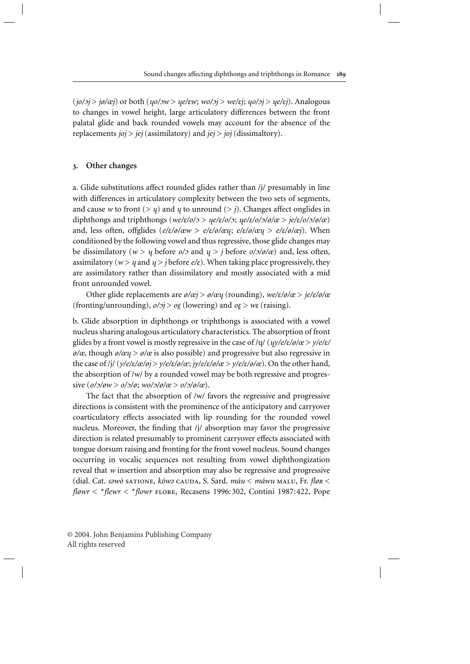$(jo/j > jø/æj)$  or both  $(yo/sw > ye/ew; wo/j > we/\epsilon j; yo/j > ye/\epsilon j)$ . Analogous to changes in vowel height, large articulatory differences between the front palatal glide and back rounded vowels may account for the absence of the replacements *joj* > *jej* (assimilatory) and *jej* > *joj* (dissimaltory).

#### 3. Other changes

a. Glide substitutions affect rounded glides rather than /j/ presumably in line with differences in articulatory complexity between the two sets of segments, and cause *w* to front (>  $\gamma$ ) and  $\gamma$  to unround (>  $\gamma$ ). Changes affect onglides in diphthongs and triphthongs ( $we/e/o/2 > \frac{1}{2}$ */* $e/e/o/2$ */* $\frac{1}{2}$ / $\frac{1}{2}$ */* $\frac{1}{2}$ */* $\frac{1}{2}$ */* $\frac{1}{2}$ */* $\frac{1}{2}$ */* $\frac{1}{2}$ */* $\frac{1}{2}$ */* $\frac{1}{2}$ */* $\frac{1}{2}$ */* $\frac{1}{2}$ */* $\frac{1}{2}$ */* $\frac{1}{2}$ */* $\frac{1}{2}$ */* $\frac{1}{2}$ */* $\frac{1}{2}$ */\frac{* and, less often, offglides (*e/ε/ø/œw > e/ε/ø/œy*; *e/ε/ø/œy > e/ε/ø/œj*). When conditioned by the following vowel and thus regressive, those glide changes may be dissimilatory ( $w > y$  before  $\frac{\partial}{\partial y}$  and  $y > j$  before  $\frac{\partial}{\partial y}$  and, less often, assimilatory ( $w > y$  and  $y > j$  before  $e/\varepsilon$ ). When taking place progressively, they are assimilatory rather than dissimilatory and mostly associated with a mid front unrounded vowel.

Other glide replacements are  $\varphi/\alpha$ *j* >  $\varphi/\alpha$ *y* (rounding), *we/* $\epsilon/\varphi/\alpha$  >  $j\epsilon/\epsilon/\varphi/\alpha$ (fronting/unrounding),  $o/2j > o \epsilon$  (lowering) and  $o \epsilon > w \epsilon$  (raising).

b. Glide absorption in diphthongs or triphthongs is associated with a vowel nucleus sharing analogous articulatory characteristics. The absorption of front glides by a front vowel is mostly regressive in the case of / $\frac{q}{q}$ / $\frac{q}{r}$ / $\frac{e}{\epsilon}$ / $\frac{a}{q}$  >  $\frac{y}{\epsilon}$ / $\epsilon$ /  $\varphi/\alpha$ , though  $\varphi/\alpha$ *q* is also possible) and progressive but also regressive in the case of /j/  $(y/e/\epsilon/\alpha/\delta) > y/e/\epsilon/\delta/\alpha$ ;  $\frac{1}{\gamma}/\epsilon/\epsilon/\delta/\alpha > y/e/\epsilon/\delta/\alpha$ . On the other hand, the absorption of /w/ by a rounded vowel may be both regressive and progres $sive$  (*o*/*p*/*øw* > *o*/*p*/*ø*;  $wo/2/\phi/\alpha$  >  $o/2/\phi/\alpha$ ).

The fact that the absorption of /w/ favors the regressive and progressive directions is consistent with the prominence of the anticipatory and carryover coarticulatory effects associated with lip rounding for the rounded vowel nucleus. Moreover, the finding that /j/ absorption may favor the progressive direction is related presumably to prominent carryover effects associated with tongue dorsum raising and fronting for the front vowel nucleus. Sound changes occurring in vocalic sequences not resulting from vowel diphthongization reveal that *w* insertion and absorption may also be regressive and progressive (dial. Cat. *<sup>s</sup>6wó* satione, *ków6* cauda, S. Sard. *máu* <sup>&</sup>lt; *máwu* malu, Fr. *flør* <sup>&</sup>lt; *fløwr* < \**flewr* < \**flowr* flore, Recasens 1996:302, Contini 1987:422, Pope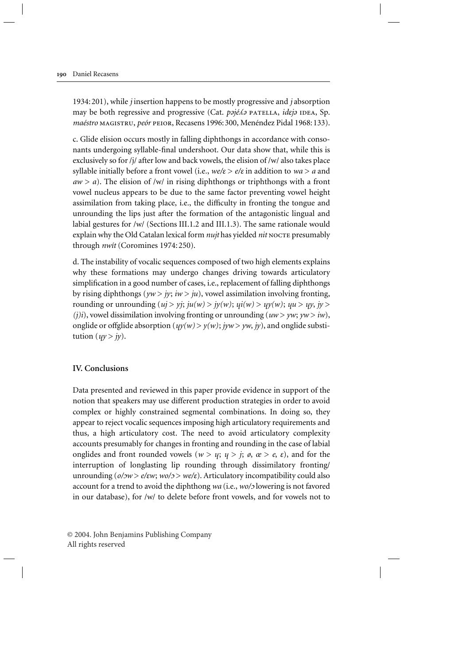1934:201), while *j* insertion happens to be mostly progressive and *j* absorption may be both regressive and progressive (Cat. *pajé/a* PATELLA, *ideja* IDEA, Sp. *maéstro* magistru, *peór* peior, Recasens 1996:300, Menéndez Pidal 1968:133).

c. Glide elision occurs mostly in falling diphthongs in accordance with consonants undergoing syllable-final undershoot. Our data show that, while this is exclusively so for /j/ after low and back vowels, the elision of /w/ also takes place syllable initially before a front vowel (i.e.,  $we/\varepsilon > e/\varepsilon$  in addition to  $wa > a$  and  $aw > a$ ). The elision of /w/ in rising diphthongs or triphthongs with a front vowel nucleus appears to be due to the same factor preventing vowel height assimilation from taking place, i.e., the difficulty in fronting the tongue and unrounding the lips just after the formation of the antagonistic lingual and labial gestures for /w/ (Sections III.1.2 and III.1.3). The same rationale would explain why the Old Catalan lexical form *nujt* has yielded *nit* NOCTE presumably through *nwít* (Coromines 1974:250).

d. The instability of vocalic sequences composed of two high elements explains why these formations may undergo changes driving towards articulatory simplification in a good number of cases, i.e., replacement of falling diphthongs by rising diphthongs ( $yw > jy$ ;  $iw > ju$ ), vowel assimilation involving fronting, rounding or unrounding  $(uj > yj; ju(w) > jy(w); uj(w) > yy(w); yu > yy; jy >$  $(j)i$ , vowel dissimilation involving fronting or unrounding ( $uw$  >  $yw$ ;  $yw$  >  $iw$ ), onglide or offglide absorption  $(\psi(w) > \psi(w)); \psi(w > \psi w, \psi)$ , and onglide substitution  $(y \geq jy)$ .

#### IV. Conclusions

Data presented and reviewed in this paper provide evidence in support of the notion that speakers may use different production strategies in order to avoid complex or highly constrained segmental combinations. In doing so, they appear to reject vocalic sequences imposing high articulatory requirements and thus, a high articulatory cost. The need to avoid articulatory complexity accounts presumably for changes in fronting and rounding in the case of labial onglides and front rounded vowels ( $w > y$ ;  $y > j$ ;  $\phi$ ,  $\alpha > \epsilon$ ,  $\epsilon$ ), and for the interruption of longlasting lip rounding through dissimilatory fronting/ unrounding ( $o/$ *zw* >  $e/$  $\varepsilon$ *w*;  $wo/$ *z* >  $we/$  $\varepsilon$ ). Articulatory incompatibility could also account for a trend to avoid the diphthong *wa* (i.e., *wo/f* lowering is not favored in our database), for /w/ to delete before front vowels, and for vowels not to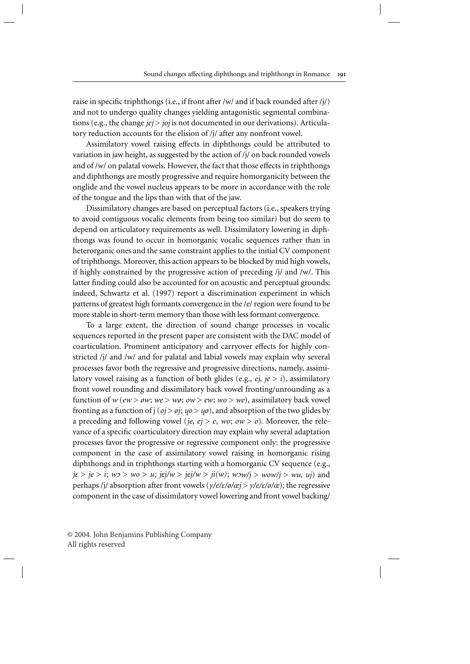raise in specific triphthongs (i.e., if front after /w/ and if back rounded after /j/) and not to undergo quality changes yielding antagonistic segmental combinations (e.g., the change *jej* > *joj* is not documented in our derivations). Articulatory reduction accounts for the elision of /j/ after any nonfront vowel.

Assimilatory vowel raising effects in diphthongs could be attributed to variation in jaw height, as suggested by the action of /j/ on back rounded vowels and of /w/ on palatal vowels. However, the fact that those effects in triphthongs and diphthongs are mostly progressive and require homorganicity between the onglide and the vowel nucleus appears to be more in accordance with the role of the tongue and the lips than with that of the jaw.

Dissimilatory changes are based on perceptual factors (i.e., speakers trying to avoid contiguous vocalic elements from being too similar) but do seem to depend on articulatory requirements as well. Dissimilatory lowering in diphthongs was found to occur in homorganic vocalic sequences rather than in heterorganic ones and the same constraint applies to the initial CV component of triphthongs. Moreover, this action appears to be blocked by mid high vowels, if highly constrained by the progressive action of preceding /j/ and /w/. This latter finding could also be accounted for on acoustic and perceptual grounds; indeed, Schwartz et al. (1997) report a discrimination experiment in which patterns of greatest high formants convergence in the /e/ region were found to be more stable in short-term memory than those with less formant convergence.

To a large extent, the direction of sound change processes in vocalic sequences reported in the present paper are consistent with the DAC model of coarticulation. Prominent anticipatory and carryover effects for highly constricted /j/ and /w/ and for palatal and labial vowels may explain why several processes favor both the regressive and progressive directions, namely, assimilatory vowel raising as a function of both glides (e.g., *ej*, *je* > *i*), assimilatory front vowel rounding and dissimilatory back vowel fronting/unrounding as a function of  $w$  (*ew* >  $\omega$ *w*;  $we$  >  $w\omega$ *; ow* >  $ew$ ;  $wo$  >  $we$ ), assimilatory back vowel fronting as a function of  $j(\omega) > \omega j$ ;  $\omega > \omega \omega$ , and absorption of the two glides by a preceding and following vowel (*je*,  $ej > e$ ,  $wo$ ;  $ow > o$ ). Moreover, the relevance of a specific coarticulatory direction may explain why several adaptation processes favor the progressive or regressive component only: the progressive component in the case of assimilatory vowel raising in homorganic rising diphthongs and in triphthongs starting with a homorganic CV sequence (e.g.,  $j\epsilon$  >  $j\epsilon$  >  $i$ ;  $w$  >  $w$  >  $w$  >  $u$ ;  $j\epsilon j/w$  >  $j\epsilon j/w$  >  $j\epsilon j(w)$ ;  $w$ *sw/j* >  $ww/j$  >  $wu$ ,  $uj$ ) and perhaps /j/ absorption after front vowels (*y/e/7/ø/œj* <sup>&</sup>gt; *y/e/7/ø/œ*); the regressive component in the case of dissimilatory vowel lowering and front vowel backing/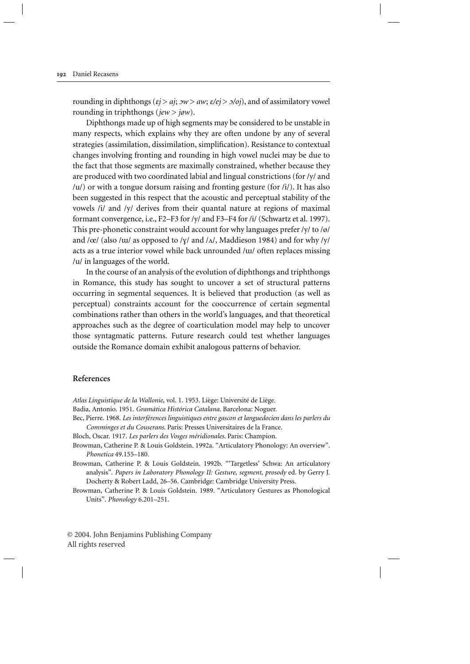rounding in diphthongs ( $\epsilon j > a_j$ ;  $\epsilon w > a_w$ ;  $\epsilon / \epsilon j > \epsilon / o_j$ ), and of assimilatory vowel rounding in triphthongs (*jew* > *jøw*).

Diphthongs made up of high segments may be considered to be unstable in many respects, which explains why they are often undone by any of several strategies (assimilation, dissimilation, simplification). Resistance to contextual changes involving fronting and rounding in high vowel nuclei may be due to the fact that those segments are maximally constrained, whether because they are produced with two coordinated labial and lingual constrictions (for /y/ and /u/) or with a tongue dorsum raising and fronting gesture (for /i/). It has also been suggested in this respect that the acoustic and perceptual stability of the vowels /i/ and /y/ derives from their quantal nature at regions of maximal formant convergence, i.e., F2–F3 for /y/ and F3–F4 for /i/ (Schwartz et al. 1997). This pre-phonetic constraint would account for why languages prefer /y/ to /ø/ and /œ/ (also / $\mu$ / as opposed to /y/ and / $\Lambda$ /, Maddieson 1984) and for why /y/ acts as a true interior vowel while back unrounded /w/ often replaces missing /u/ in languages of the world.

In the course of an analysis of the evolution of diphthongs and triphthongs in Romance, this study has sought to uncover a set of structural patterns occurring in segmental sequences. It is believed that production (as well as perceptual) constraints account for the cooccurrence of certain segmental combinations rather than others in the world's languages, and that theoretical approaches such as the degree of coarticulation model may help to uncover those syntagmatic patterns. Future research could test whether languages outside the Romance domain exhibit analogous patterns of behavior.

#### References

*Atlas Linguistique de la Wallonie*, vol. 1. 1953. Liège: Université de Liège.

Badia, Antonio. 1951. *Gramática Histórica Catalana*. Barcelona: Noguer.

- Bec, Pierre. 1968. *Les interférences linguistiques entre gascon et languedocien dans les parlers du Comminges et du Couserans*. Paris: Presses Universitaires de la France.
- Bloch, Oscar. 1917. *Les parlers des Vosges méridionales*. Paris: Champion.
- Browman, Catherine P. & Louis Goldstein. 1992a. "Articulatory Phonology: An overview". *Phonetica* 49.155–180.
- Browman, Catherine P. & Louis Goldstein. 1992b. "'Targetless' Schwa: An articulatory analysis". *Papers in Laboratory Phonology II: Gesture, segment, prosody* ed. by Gerry J. Docherty & Robert Ladd, 26–56. Cambridge: Cambridge University Press.
- Browman, Catherine P. & Louis Goldstein. 1989. "Articulatory Gestures as Phonological Units". *Phonology* 6.201–251.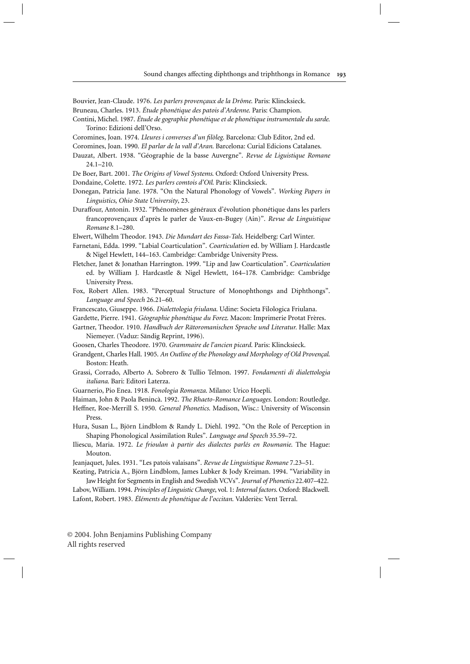Bouvier, Jean-Claude. 1976. *Les parlers provençaux de la Drôme*. Paris: Klincksieck.

- Bruneau, Charles. 1913. *Étude phonétique des patois d'Ardenne*. Paris: Champion.
- Contini, Michel. 1987. *Étude de gographie phonétique et de phonétique instrumentale du sarde*. Torino: Edizioni dell'Orso.
- Coromines, Joan. 1974. *Lleures i converses d'un filòleg*. Barcelona: Club Editor, 2nd ed.
- Coromines, Joan. 1990. *El parlar de la vall d'Aran*. Barcelona: Curial Edicions Catalanes.
- Dauzat, Albert. 1938. "Géographie de la basse Auvergne". *Revue de Liguistique Romane* 24.1–210.
- De Boer, Bart. 2001. *The Origins of Vowel Systems*. Oxford: Oxford University Press.
- Dondaine, Colette. 1972. *Les parlers comtois d'Oïl*. Paris: Klincksieck.
- Donegan, Patricia Jane. 1978. "On the Natural Phonology of Vowels". *Working Papers in Linguistics*, *Ohio State University*, 23.
- Duraffour, Antonin. 1932. "Phénomènes généraux d'évolution phonétique dans les parlers francoprovençaux d'après le parler de Vaux-en-Bugey (Ain)". *Revue de Linguistique Romane* 8.1–280.
- Elwert, Wilhelm Theodor. 1943. *Die Mundart des Fassa-Tals*. Heidelberg: Carl Winter.
- Farnetani, Edda. 1999. "Labial Coarticulation". *Coarticulation* ed. by William J. Hardcastle & Nigel Hewlett, 144–163. Cambridge: Cambridge University Press.
- Fletcher, Janet & Jonathan Harrington. 1999. "Lip and Jaw Coarticulation". *Coarticulation* ed. by William J. Hardcastle & Nigel Hewlett, 164–178. Cambridge: Cambridge University Press.
- Fox, Robert Allen. 1983. "Perceptual Structure of Monophthongs and Diphthongs". *Language and Speech* 26.21–60.
- Francescato, Giuseppe. 1966. *Dialettologia friulana*. Udine: Societa Filologica Friulana.
- Gardette, Pierre. 1941. *Géographie phonétique du Forez*. Macon: Imprimerie Protat Frères.
- Gartner, Theodor. 1910. *Handbuch der Rätoromanischen Sprache und Literatur.* Halle: Max Niemeyer. (Vaduz: Sändig Reprint, 1996).
- Goosen, Charles Theodore. 1970. *Grammaire de l'ancien picard*. Paris: Klincksieck.
- Grandgent, Charles Hall. 1905. *An Outline of the Phonology and Morphology of Old Provençal*. Boston: Heath.
- Grassi, Corrado, Alberto A. Sobrero & Tullio Telmon. 1997. *Fondamenti di dialettologia italiana*. Bari: Editori Laterza.
- Guarnerio, Pio Enea. 1918. *Fonologia Romanza*. Milano: Urico Hoepli.
- Haiman, John & Paola Benincà. 1992. *The Rhaeto-Romance Languages*. London: Routledge.
- Heffner, Roe-Merrill S. 1950. *General Phonetics*. Madison, Wisc.: University of Wisconsin Press.
- Hura, Susan L., Björn Lindblom & Randy L. Diehl. 1992. "On the Role of Perception in Shaping Phonological Assimilation Rules". *Language and Speech* 35.59–72.
- Iliescu, Maria. 1972. *Le frioulan à partir des dialectes parlés en Roumanie*. The Hague: Mouton.
- Jeanjaquet, Jules. 1931. "Les patois valaisans". *Revue de Linguistique Romane* 7.23–51.
- Keating, Patricia A., Björn Lindblom, James Lubker & Jody Kreiman. 1994. "Variability in Jaw Height for Segments in English and Swedish VCVs". *Journal of Phonetics* 22.407–422.
- Labov, William. 1994. *Principles of Linguistic Change*, vol. 1: *Internal factors*. Oxford: Blackwell. Lafont, Robert. 1983. *Éléments de phonétique de l'occitan*. Valderiès: Vent Terral.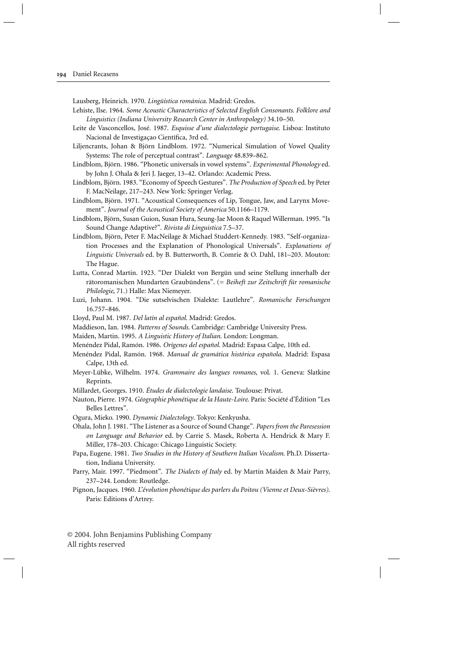Lausberg, Heinrich. 1970. *Lingüística románica*. Madrid: Gredos.

Lehiste, Ilse. 1964. *Some Acoustic Characteristics of Selected English Consonants*. *Folklore and Linguistics (Indiana University Research Center in Anthropology)* 34.10–50.

- Leite de Vasconcellos, José. 1987. *Esquisse d'une dialectologie portugaise*. Lisboa: Instituto Nacional de Investigaçao Científica, 3rd ed.
- Liljencrants, Johan & Björn Lindblom. 1972. "Numerical Simulation of Vowel Quality Systems: The role of perceptual contrast". *Language* 48.839–862.
- Lindblom, Björn. 1986. "Phonetic universals in vowel systems". *Experimental Phonology* ed. by John J. Ohala & Jeri J. Jaeger, 13–42. Orlando: Academic Press.
- Lindblom, Björn. 1983. "Economy of Speech Gestures". *The Production of Speech* ed. by Peter F. MacNeilage, 217–243. New York: Springer Verlag.
- Lindblom, Björn. 1971. "Acoustical Consequences of Lip, Tongue, Jaw, and Larynx Movement". *Journal of the Acoustical Society of America* 50.1166–1179.
- Lindblom, Björn, Susan Guion, Susan Hura, Seung-Jae Moon & Raquel Willerman. 1995. "Is Sound Change Adaptive?". *Rivista di Linguistica* 7.5–37.
- Lindblom, Björn, Peter F. MacNeilage & Michael Studdert-Kennedy. 1983. "Self-organization Processes and the Explanation of Phonological Universals". *Explanations of Linguistic Universals* ed. by B. Butterworth, B. Comrie & O. Dahl, 181–203. Mouton: The Hague.
- Lutta, Conrad Martin. 1923. "Der Dialekt von Bergün und seine Stellung innerhalb der rätoromanischen Mundarten Graubündens". (= *Beiheft zur Zeitschrift für romanische Philologie*, 71.) Halle: Max Niemeyer.
- Luzi, Johann. 1904. "Die sutselvischen Dialekte: Lautlehre". *Romanische Forschungen* 16.757–846.
- Lloyd, Paul M. 1987. *Del latín al español*. Madrid: Gredos.
- Maddieson, Ian. 1984. *Patterns of Sounds*. Cambridge: Cambridge University Press.
- Maiden, Martin. 1995. *A Linguistic History of Italian*. London: Longman.
- Menéndez Pidal, Ramón. 1986. *Orígenes del español*. Madrid: Espasa Calpe, 10th ed.
- Menéndez Pidal, Ramón. 1968. *Manual de gramática histórica española*. Madrid: Espasa Calpe, 13th ed.
- Meyer-Lübke, Wilhelm. 1974. *Grammaire des langues romanes*, vol. 1. Geneva: Slatkine Reprints.
- Millardet, Georges. 1910. *Études de dialectologie landaise*. Toulouse: Privat.
- Nauton, Pierre. 1974. *Géographie phonétique de la Haute-Loire*. Paris: Société d'Édition "Les Belles Lettres".
- Ogura, Mieko. 1990. *Dynamic Dialectology*. Tokyo: Kenkyusha.
- Ohala, John J. 1981. "The Listener as a Source of Sound Change". *Papers from the Paresession on Language and Behavior* ed. by Carrie S. Masek, Roberta A. Hendrick & Mary F. Miller, 178–203. Chicago: Chicago Linguistic Society.
- Papa, Eugene. 1981. *Two Studies in the History of Southern Italian Vocalism*. Ph.D. Dissertation, Indiana University.
- Parry, Mair. 1997. "Piedmont". *The Dialects of Italy* ed. by Martin Maiden & Mair Parry, 237–244. London: Routledge.
- Pignon, Jacques. 1960. *L'évolution phonétique des parlers du Poitou (Vienne et Deux-Sièvres)*. Paris: Editions d'Artrey.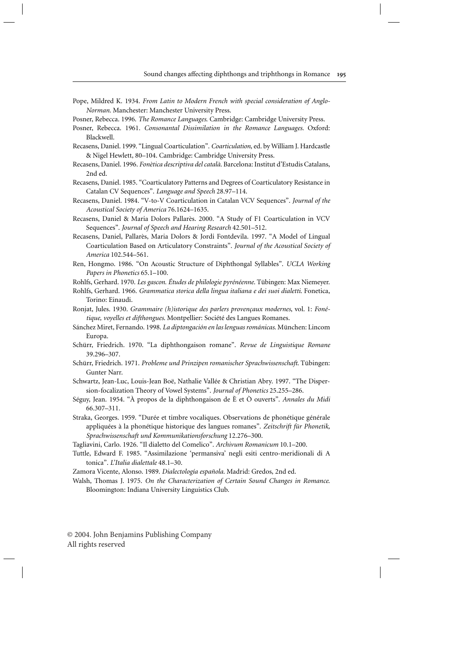- Pope, Mildred K. 1934. *From Latin to Modern French with special consideration of Anglo-Norman*. Manchester: Manchester University Press.
- Posner, Rebecca. 1996. *The Romance Languages*. Cambridge: Cambridge University Press.
- Posner, Rebecca. 1961. *Consonantal Dissimilation in the Romance Languages*. Oxford: Blackwell.
- Recasens, Daniel. 1999. "Lingual Coarticulation". *Coarticulation*, ed. by William J. Hardcastle & Nigel Hewlett, 80–104. Cambridge: Cambridge University Press.
- Recasens, Daniel. 1996. *Fonètica descriptiva del català*. Barcelona: Institut d'Estudis Catalans, 2nd ed.
- Recasens, Daniel. 1985. "Coarticulatory Patterns and Degrees of Coarticulatory Resistance in Catalan CV Sequences". *Language and Speech* 28.97–114.
- Recasens, Daniel. 1984. "V-to-V Coarticulation in Catalan VCV Sequences". *Journal of the Acoustical Society of America* 76.1624–1635.
- Recasens, Daniel & Maria Dolors Pallarès. 2000. "A Study of F1 Coarticulation in VCV Sequences". *Journal of Speech and Hearing Research* 42.501–512.
- Recasens, Daniel, Pallarès, Maria Dolors & Jordi Fontdevila. 1997. "A Model of Lingual Coarticulation Based on Articulatory Constraints". *Journal of the Acoustical Society of America* 102.544–561.
- Ren, Hongmo. 1986. "On Acoustic Structure of Diphthongal Syllables". *UCLA Working Papers in Phonetics* 65.1–100.
- Rohlfs, Gerhard. 1970. *Les gascon. Études de philologie pyrénéenne*. Tübingen: Max Niemeyer.
- Rohlfs, Gerhard. 1966. *Grammatica storica della lingua italiana e dei suoi dialetti*. Fonetica, Torino: Einaudi.
- Ronjat, Jules. 1930. *Grammaire (h)istorique des parlers provençaux modernes*, vol. 1: *Fonétique, voyelles et difthongues*. Montpellier: Société des Langues Romanes.
- Sánchez Miret, Fernando. 1998. *La diptongación en las lenguas románicas*. München: Lincom Europa.
- Schürr, Friedrich. 1970. "La diphthongaison romane". *Revue de Linguistique Romane* 39.296–307.
- Schürr, Friedrich. 1971. *Probleme und Prinzipen romanischer Sprachwissenschaft*. Tübingen: Gunter Narr.
- Schwartz, Jean-Luc, Louis-Jean Boë, Nathalie Vallée & Christian Abry. 1997. "The Dispersion-focalization Theory of Vowel Systems". *Journal of Phonetics* 25.255–286.
- Séguy, Jean. 1954. "À propos de la diphthongaison de È et Ò ouverts". *Annales du Midi* 66.307–311.
- Straka, Georges. 1959. "Durée et timbre vocaliques. Observations de phonétique générale appliquées à la phonétique historique des langues romanes". *Zeitschrift für Phonetik, Sprachwissenschaft und Kommunikationsforschung* 12.276–300.
- Tagliavini, Carlo. 1926. "Il dialetto del Comelico". *Archivum Romanicum* 10.1–200.
- Tuttle, Edward F. 1985. "Assimilazione 'permansiva' negli esiti centro-meridionali di A tonica". *L'Italia dialettale* 48.1–30.
- Zamora Vicente, Alonso. 1989. *Dialectología española*. Madrid: Gredos, 2nd ed.
- Walsh, Thomas J. 1975. *On the Characterization of Certain Sound Changes in Romance*. Bloomington: Indiana University Linguistics Club.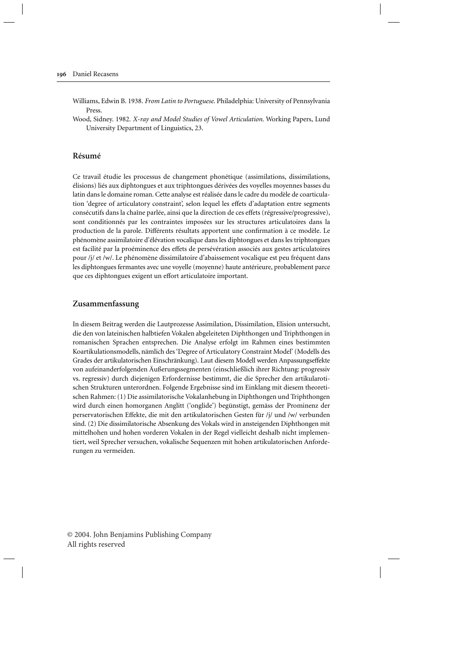Williams, Edwin B. 1938. *From Latin to Portuguese*. Philadelphia: University of Pennsylvania Press.

Wood, Sidney. 1982. *X-ray and Model Studies of Vowel Articulation*. Working Papers, Lund University Department of Linguistics, 23.

#### Résumé

Ce travail étudie les processus de changement phonétique (assimilations, dissimilations, élisions) liés aux diphtongues et aux triphtongues dérivées des voyelles moyennes basses du latin dans le domaine roman. Cette analyse est réalisée dans le cadre du modèle de coarticulation 'degree of articulatory constraint', selon lequel les effets d'adaptation entre segments consécutifs dans la chaîne parlée, ainsi que la direction de ces effets (régressive/progressive), sont conditionnés par les contraintes imposées sur les structures articulatoires dans la production de la parole. Différents résultats apportent une confirmation à ce modèle. Le phénomène assimilatoire d'élévation vocalique dans les diphtongues et dans les triphtongues est facilité par la proéminence des effets de persévération associés aux gestes articulatoires pour /j/ et /w/. Le phénomène dissimilatoire d'abaissement vocalique est peu fréquent dans les diphtongues fermantes avec une voyelle (moyenne) haute antérieure, probablement parce que ces diphtongues exigent un effort articulatoire important.

#### Zusammenfassung

In diesem Beitrag werden die Lautprozesse Assimilation, Dissimilation, Elision untersucht, die den von lateinischen halbtiefen Vokalen abgeleiteten Diphthongen und Triphthongen in romanischen Sprachen entsprechen. Die Analyse erfolgt im Rahmen eines bestimmten Koartikulationsmodells, nämlich des 'Degree of Articulatory Constraint Model' (Modells des Grades der artikulatorischen Einschränkung). Laut diesem Modell werden Anpassungseffekte von aufeinanderfolgenden Äußerungssegmenten (einschließlich ihrer Richtung: progressiv vs. regressiv) durch diejenigen Erfordernisse bestimmt, die die Sprecher den artikularotischen Strukturen unterordnen. Folgende Ergebnisse sind im Einklang mit diesem theoretischen Rahmen: (1) Die assimilatorische Vokalanhebung in Diphthongen und Triphthongen wird durch einen homorganen Anglitt ('onglide') begünstigt, gemäss der Prominenz der perservatorischen Effekte, die mit den artikulatorischen Gesten für /j/ und /w/ verbunden sind. (2) Die dissimilatorische Absenkung des Vokals wird in ansteigenden Diphthongen mit mittelhohen und hohen vorderen Vokalen in der Regel vielleicht deshalb nicht implementiert, weil Sprecher versuchen, vokalische Sequenzen mit hohen artikulatorischen Anforderungen zu vermeiden.